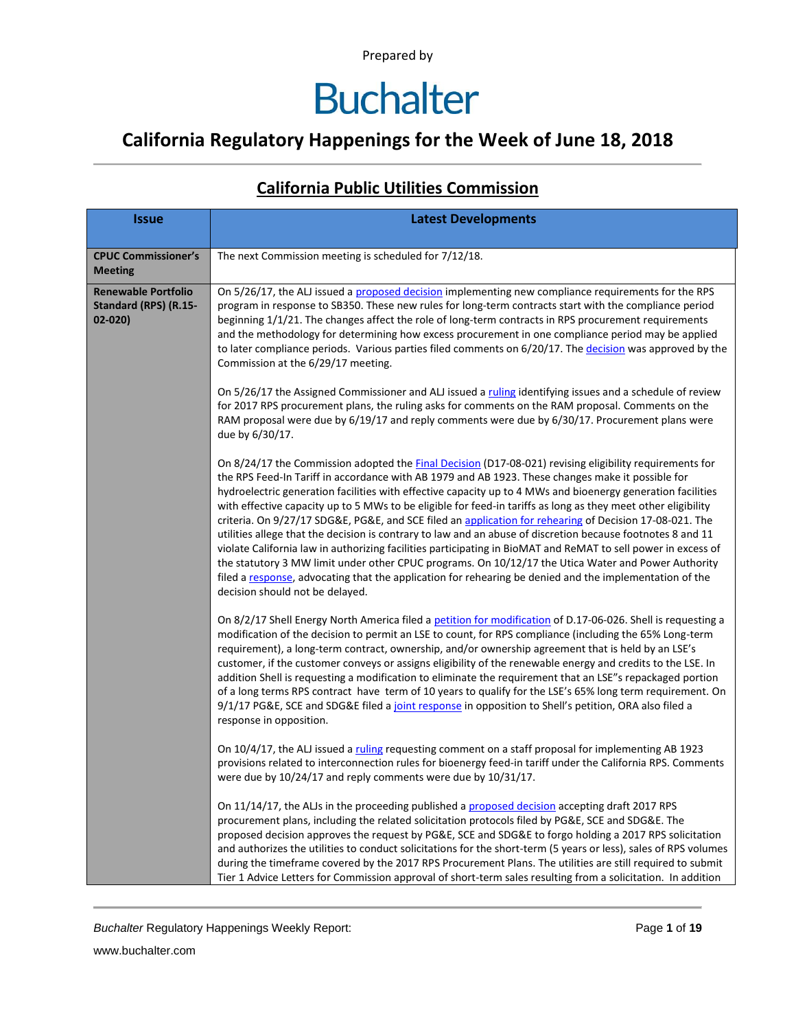### **California Regulatory Happenings for the Week of June 18, 2018**

| <b>Issue</b>                                                      | <b>Latest Developments</b>                                                                                                                                                                                                                                                                                                                                                                                                                                                                                                                                                                                                                                                                                                                                                                                                                                                                                                                                                                                                                   |
|-------------------------------------------------------------------|----------------------------------------------------------------------------------------------------------------------------------------------------------------------------------------------------------------------------------------------------------------------------------------------------------------------------------------------------------------------------------------------------------------------------------------------------------------------------------------------------------------------------------------------------------------------------------------------------------------------------------------------------------------------------------------------------------------------------------------------------------------------------------------------------------------------------------------------------------------------------------------------------------------------------------------------------------------------------------------------------------------------------------------------|
| <b>CPUC Commissioner's</b><br><b>Meeting</b>                      | The next Commission meeting is scheduled for 7/12/18.                                                                                                                                                                                                                                                                                                                                                                                                                                                                                                                                                                                                                                                                                                                                                                                                                                                                                                                                                                                        |
| <b>Renewable Portfolio</b><br>Standard (RPS) (R.15-<br>$02 - 020$ | On 5/26/17, the ALJ issued a proposed decision implementing new compliance requirements for the RPS<br>program in response to SB350. These new rules for long-term contracts start with the compliance period<br>beginning 1/1/21. The changes affect the role of long-term contracts in RPS procurement requirements<br>and the methodology for determining how excess procurement in one compliance period may be applied<br>to later compliance periods. Various parties filed comments on 6/20/17. The decision was approved by the<br>Commission at the 6/29/17 meeting.                                                                                                                                                                                                                                                                                                                                                                                                                                                                |
|                                                                   | On 5/26/17 the Assigned Commissioner and ALJ issued a ruling identifying issues and a schedule of review<br>for 2017 RPS procurement plans, the ruling asks for comments on the RAM proposal. Comments on the<br>RAM proposal were due by 6/19/17 and reply comments were due by 6/30/17. Procurement plans were<br>due by 6/30/17.                                                                                                                                                                                                                                                                                                                                                                                                                                                                                                                                                                                                                                                                                                          |
|                                                                   | On 8/24/17 the Commission adopted the Final Decision (D17-08-021) revising eligibility requirements for<br>the RPS Feed-In Tariff in accordance with AB 1979 and AB 1923. These changes make it possible for<br>hydroelectric generation facilities with effective capacity up to 4 MWs and bioenergy generation facilities<br>with effective capacity up to 5 MWs to be eligible for feed-in tariffs as long as they meet other eligibility<br>criteria. On 9/27/17 SDG&E, PG&E, and SCE filed an application for rehearing of Decision 17-08-021. The<br>utilities allege that the decision is contrary to law and an abuse of discretion because footnotes 8 and 11<br>violate California law in authorizing facilities participating in BioMAT and ReMAT to sell power in excess of<br>the statutory 3 MW limit under other CPUC programs. On 10/12/17 the Utica Water and Power Authority<br>filed a response, advocating that the application for rehearing be denied and the implementation of the<br>decision should not be delayed. |
|                                                                   | On 8/2/17 Shell Energy North America filed a petition for modification of D.17-06-026. Shell is requesting a<br>modification of the decision to permit an LSE to count, for RPS compliance (including the 65% Long-term<br>requirement), a long-term contract, ownership, and/or ownership agreement that is held by an LSE's<br>customer, if the customer conveys or assigns eligibility of the renewable energy and credits to the LSE. In<br>addition Shell is requesting a modification to eliminate the requirement that an LSE"s repackaged portion<br>of a long terms RPS contract have term of 10 years to qualify for the LSE's 65% long term requirement. On<br>9/1/17 PG&E, SCE and SDG&E filed a joint response in opposition to Shell's petition, ORA also filed a<br>response in opposition.                                                                                                                                                                                                                                   |
|                                                                   | On 10/4/17, the ALJ issued a ruling requesting comment on a staff proposal for implementing AB 1923<br>provisions related to interconnection rules for bioenergy feed-in tariff under the California RPS. Comments<br>were due by 10/24/17 and reply comments were due by 10/31/17.                                                                                                                                                                                                                                                                                                                                                                                                                                                                                                                                                                                                                                                                                                                                                          |
|                                                                   | On 11/14/17, the ALJs in the proceeding published a proposed decision accepting draft 2017 RPS<br>procurement plans, including the related solicitation protocols filed by PG&E, SCE and SDG&E. The<br>proposed decision approves the request by PG&E, SCE and SDG&E to forgo holding a 2017 RPS solicitation<br>and authorizes the utilities to conduct solicitations for the short-term (5 years or less), sales of RPS volumes<br>during the timeframe covered by the 2017 RPS Procurement Plans. The utilities are still required to submit<br>Tier 1 Advice Letters for Commission approval of short-term sales resulting from a solicitation. In addition                                                                                                                                                                                                                                                                                                                                                                              |

#### **California Public Utilities Commission**

**Buchalter Regulatory Happenings Weekly Report:** Page 1 of 19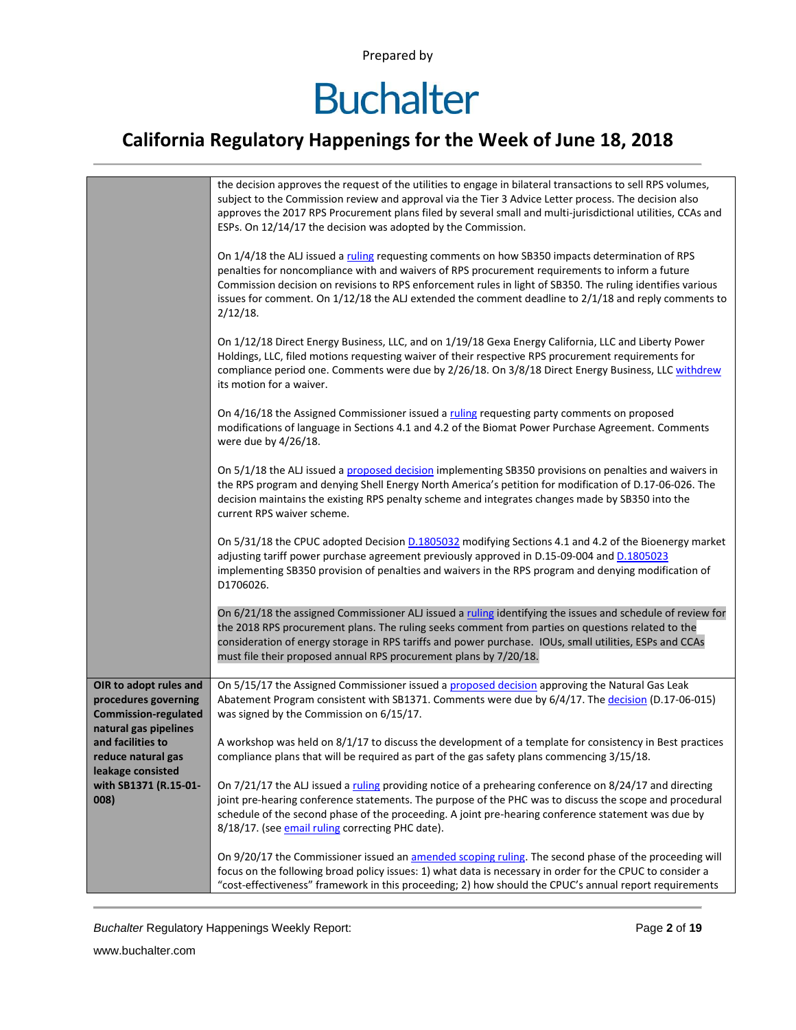# **Buchalter**

### **California Regulatory Happenings for the Week of June 18, 2018**

|                                                     | the decision approves the request of the utilities to engage in bilateral transactions to sell RPS volumes,<br>subject to the Commission review and approval via the Tier 3 Advice Letter process. The decision also<br>approves the 2017 RPS Procurement plans filed by several small and multi-jurisdictional utilities, CCAs and<br>ESPs. On 12/14/17 the decision was adopted by the Commission.                                    |
|-----------------------------------------------------|-----------------------------------------------------------------------------------------------------------------------------------------------------------------------------------------------------------------------------------------------------------------------------------------------------------------------------------------------------------------------------------------------------------------------------------------|
|                                                     | On 1/4/18 the ALJ issued a ruling requesting comments on how SB350 impacts determination of RPS<br>penalties for noncompliance with and waivers of RPS procurement requirements to inform a future<br>Commission decision on revisions to RPS enforcement rules in light of SB350. The ruling identifies various<br>issues for comment. On 1/12/18 the ALJ extended the comment deadline to 2/1/18 and reply comments to<br>$2/12/18$ . |
|                                                     | On 1/12/18 Direct Energy Business, LLC, and on 1/19/18 Gexa Energy California, LLC and Liberty Power<br>Holdings, LLC, filed motions requesting waiver of their respective RPS procurement requirements for<br>compliance period one. Comments were due by 2/26/18. On 3/8/18 Direct Energy Business, LLC withdrew<br>its motion for a waiver.                                                                                          |
|                                                     | On 4/16/18 the Assigned Commissioner issued a ruling requesting party comments on proposed<br>modifications of language in Sections 4.1 and 4.2 of the Biomat Power Purchase Agreement. Comments<br>were due by 4/26/18.                                                                                                                                                                                                                |
|                                                     | On 5/1/18 the ALJ issued a proposed decision implementing SB350 provisions on penalties and waivers in<br>the RPS program and denying Shell Energy North America's petition for modification of D.17-06-026. The<br>decision maintains the existing RPS penalty scheme and integrates changes made by SB350 into the<br>current RPS waiver scheme.                                                                                      |
|                                                     | On 5/31/18 the CPUC adopted Decision D.1805032 modifying Sections 4.1 and 4.2 of the Bioenergy market<br>adjusting tariff power purchase agreement previously approved in D.15-09-004 and D.1805023<br>implementing SB350 provision of penalties and waivers in the RPS program and denying modification of<br>D1706026.                                                                                                                |
|                                                     | On 6/21/18 the assigned Commissioner ALJ issued a ruling identifying the issues and schedule of review for<br>the 2018 RPS procurement plans. The ruling seeks comment from parties on questions related to the<br>consideration of energy storage in RPS tariffs and power purchase. IOUs, small utilities, ESPs and CCAs<br>must file their proposed annual RPS procurement plans by 7/20/18.                                         |
| OIR to adopt rules and                              | On 5/15/17 the Assigned Commissioner issued a proposed decision approving the Natural Gas Leak                                                                                                                                                                                                                                                                                                                                          |
| procedures governing<br><b>Commission-regulated</b> | Abatement Program consistent with SB1371. Comments were due by 6/4/17. The decision (D.17-06-015)<br>was signed by the Commission on 6/15/17.                                                                                                                                                                                                                                                                                           |
| natural gas pipelines<br>and facilities to          | A workshop was held on 8/1/17 to discuss the development of a template for consistency in Best practices                                                                                                                                                                                                                                                                                                                                |
| reduce natural gas<br>leakage consisted             | compliance plans that will be required as part of the gas safety plans commencing 3/15/18.                                                                                                                                                                                                                                                                                                                                              |
| with SB1371 (R.15-01-<br>008)                       | On 7/21/17 the ALJ issued a ruling providing notice of a prehearing conference on 8/24/17 and directing<br>joint pre-hearing conference statements. The purpose of the PHC was to discuss the scope and procedural<br>schedule of the second phase of the proceeding. A joint pre-hearing conference statement was due by<br>8/18/17. (see email ruling correcting PHC date).                                                           |
|                                                     | On 9/20/17 the Commissioner issued an amended scoping ruling. The second phase of the proceeding will<br>focus on the following broad policy issues: 1) what data is necessary in order for the CPUC to consider a<br>"cost-effectiveness" framework in this proceeding; 2) how should the CPUC's annual report requirements                                                                                                            |

**Buchalter Regulatory Happenings Weekly Report:** Page 2 of 19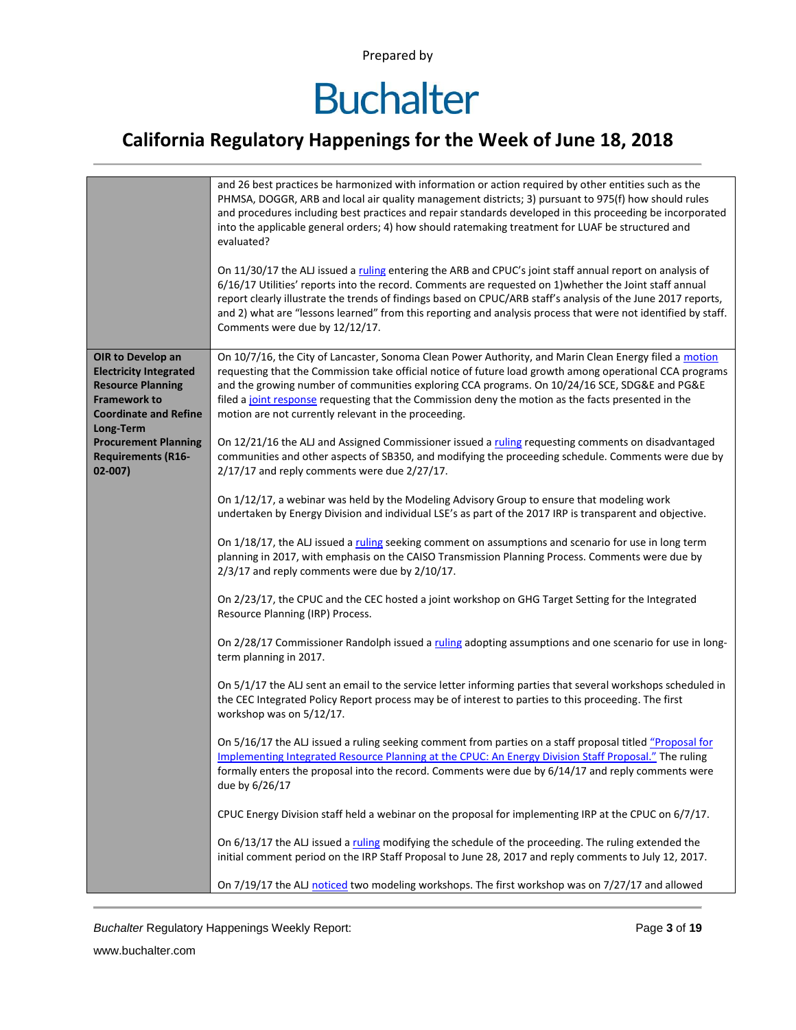# **Buchalter**

### **California Regulatory Happenings for the Week of June 18, 2018**

|                                                                                                                                                                                                                | and 26 best practices be harmonized with information or action required by other entities such as the<br>PHMSA, DOGGR, ARB and local air quality management districts; 3) pursuant to 975(f) how should rules<br>and procedures including best practices and repair standards developed in this proceeding be incorporated<br>into the applicable general orders; 4) how should ratemaking treatment for LUAF be structured and<br>evaluated?<br>On 11/30/17 the ALJ issued a ruling entering the ARB and CPUC's joint staff annual report on analysis of<br>6/16/17 Utilities' reports into the record. Comments are requested on 1) whether the Joint staff annual<br>report clearly illustrate the trends of findings based on CPUC/ARB staff's analysis of the June 2017 reports,<br>and 2) what are "lessons learned" from this reporting and analysis process that were not identified by staff.<br>Comments were due by 12/12/17.                                                                                                                                                                                                                                                                                                                                                                                                                                                                                                                                                                                                                                                                                                                                                                                           |
|----------------------------------------------------------------------------------------------------------------------------------------------------------------------------------------------------------------|------------------------------------------------------------------------------------------------------------------------------------------------------------------------------------------------------------------------------------------------------------------------------------------------------------------------------------------------------------------------------------------------------------------------------------------------------------------------------------------------------------------------------------------------------------------------------------------------------------------------------------------------------------------------------------------------------------------------------------------------------------------------------------------------------------------------------------------------------------------------------------------------------------------------------------------------------------------------------------------------------------------------------------------------------------------------------------------------------------------------------------------------------------------------------------------------------------------------------------------------------------------------------------------------------------------------------------------------------------------------------------------------------------------------------------------------------------------------------------------------------------------------------------------------------------------------------------------------------------------------------------------------------------------------------------------------------------------------------------|
| OIR to Develop an<br><b>Electricity Integrated</b><br><b>Resource Planning</b><br><b>Framework to</b><br><b>Coordinate and Refine</b><br>Long-Term<br><b>Procurement Planning</b><br><b>Requirements (R16-</b> | On 10/7/16, the City of Lancaster, Sonoma Clean Power Authority, and Marin Clean Energy filed a motion<br>requesting that the Commission take official notice of future load growth among operational CCA programs<br>and the growing number of communities exploring CCA programs. On 10/24/16 SCE, SDG&E and PG&E<br>filed a joint response requesting that the Commission deny the motion as the facts presented in the<br>motion are not currently relevant in the proceeding.<br>On 12/21/16 the ALJ and Assigned Commissioner issued a ruling requesting comments on disadvantaged<br>communities and other aspects of SB350, and modifying the proceeding schedule. Comments were due by                                                                                                                                                                                                                                                                                                                                                                                                                                                                                                                                                                                                                                                                                                                                                                                                                                                                                                                                                                                                                                    |
| $02-007)$                                                                                                                                                                                                      | $2/17/17$ and reply comments were due $2/27/17$ .<br>On 1/12/17, a webinar was held by the Modeling Advisory Group to ensure that modeling work<br>undertaken by Energy Division and individual LSE's as part of the 2017 IRP is transparent and objective.<br>On 1/18/17, the ALJ issued a ruling seeking comment on assumptions and scenario for use in long term<br>planning in 2017, with emphasis on the CAISO Transmission Planning Process. Comments were due by<br>2/3/17 and reply comments were due by 2/10/17.<br>On 2/23/17, the CPUC and the CEC hosted a joint workshop on GHG Target Setting for the Integrated<br>Resource Planning (IRP) Process.<br>On 2/28/17 Commissioner Randolph issued a ruling adopting assumptions and one scenario for use in long-<br>term planning in 2017.<br>On 5/1/17 the ALJ sent an email to the service letter informing parties that several workshops scheduled in<br>the CEC Integrated Policy Report process may be of interest to parties to this proceeding. The first<br>workshop was on 5/12/17.<br>On 5/16/17 the ALJ issued a ruling seeking comment from parties on a staff proposal titled "Proposal for<br>Implementing Integrated Resource Planning at the CPUC: An Energy Division Staff Proposal." The ruling<br>formally enters the proposal into the record. Comments were due by 6/14/17 and reply comments were<br>due by 6/26/17<br>CPUC Energy Division staff held a webinar on the proposal for implementing IRP at the CPUC on 6/7/17.<br>On 6/13/17 the ALJ issued a ruling modifying the schedule of the proceeding. The ruling extended the<br>initial comment period on the IRP Staff Proposal to June 28, 2017 and reply comments to July 12, 2017. |
|                                                                                                                                                                                                                | On 7/19/17 the ALJ noticed two modeling workshops. The first workshop was on 7/27/17 and allowed                                                                                                                                                                                                                                                                                                                                                                                                                                                                                                                                                                                                                                                                                                                                                                                                                                                                                                                                                                                                                                                                                                                                                                                                                                                                                                                                                                                                                                                                                                                                                                                                                                   |

**Buchalter Regulatory Happenings Weekly Report:** Page 3 of 19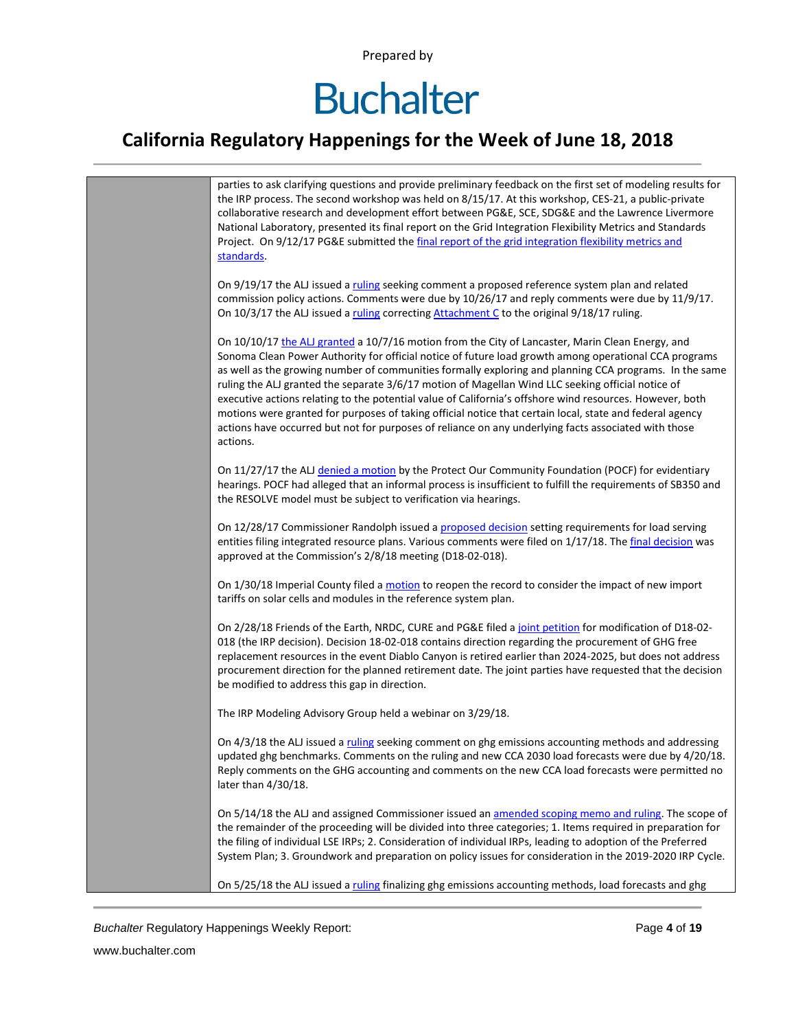# **Buchalter**

### **California Regulatory Happenings for the Week of June 18, 2018**



*Buchalter* Regulatory Happenings Weekly Report: Page **4** of **19**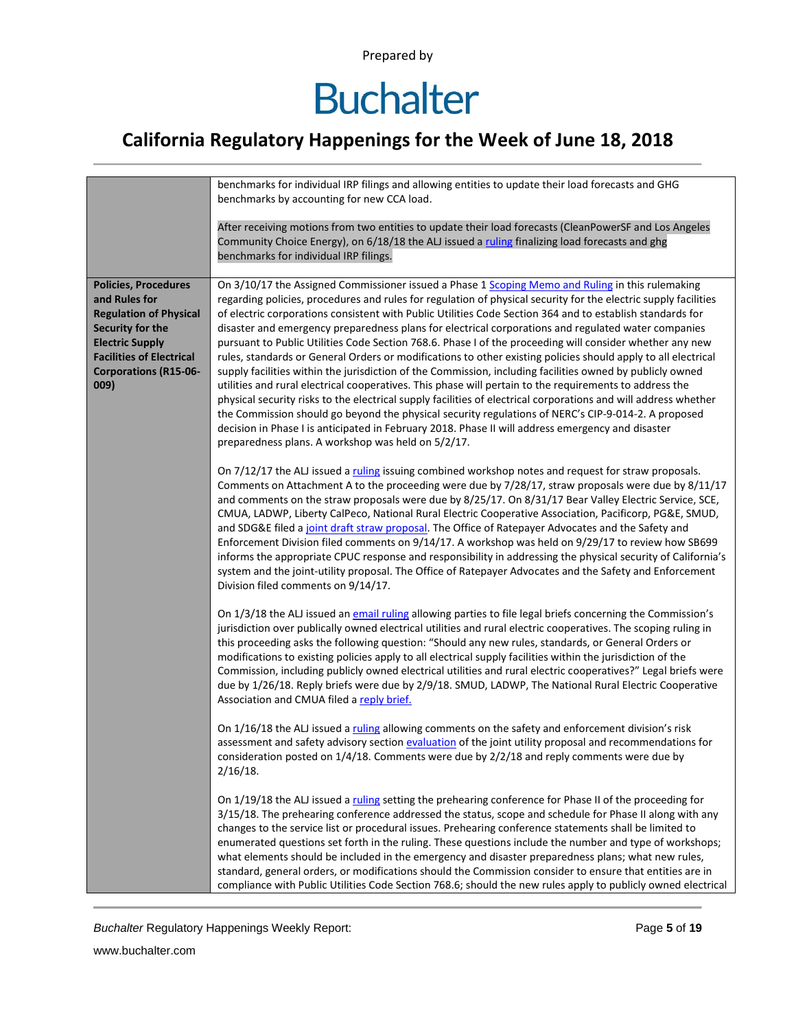# **Buchalter**

### **California Regulatory Happenings for the Week of June 18, 2018**

|                                                                                                                                                                                                        | benchmarks for individual IRP filings and allowing entities to update their load forecasts and GHG<br>benchmarks by accounting for new CCA load.                                                                                                                                                                                                                                                                                                                                                                                                                                                                                                                                                                                                                                                                                                                                                                                                                                                                                                                                                                                                                                                                                                                                  |
|--------------------------------------------------------------------------------------------------------------------------------------------------------------------------------------------------------|-----------------------------------------------------------------------------------------------------------------------------------------------------------------------------------------------------------------------------------------------------------------------------------------------------------------------------------------------------------------------------------------------------------------------------------------------------------------------------------------------------------------------------------------------------------------------------------------------------------------------------------------------------------------------------------------------------------------------------------------------------------------------------------------------------------------------------------------------------------------------------------------------------------------------------------------------------------------------------------------------------------------------------------------------------------------------------------------------------------------------------------------------------------------------------------------------------------------------------------------------------------------------------------|
|                                                                                                                                                                                                        | After receiving motions from two entities to update their load forecasts (CleanPowerSF and Los Angeles<br>Community Choice Energy), on 6/18/18 the ALJ issued a ruling finalizing load forecasts and ghg<br>benchmarks for individual IRP filings.                                                                                                                                                                                                                                                                                                                                                                                                                                                                                                                                                                                                                                                                                                                                                                                                                                                                                                                                                                                                                                |
| <b>Policies, Procedures</b><br>and Rules for<br><b>Regulation of Physical</b><br>Security for the<br><b>Electric Supply</b><br><b>Facilities of Electrical</b><br><b>Corporations (R15-06-</b><br>009) | On 3/10/17 the Assigned Commissioner issued a Phase 1 Scoping Memo and Ruling in this rulemaking<br>regarding policies, procedures and rules for regulation of physical security for the electric supply facilities<br>of electric corporations consistent with Public Utilities Code Section 364 and to establish standards for<br>disaster and emergency preparedness plans for electrical corporations and regulated water companies<br>pursuant to Public Utilities Code Section 768.6. Phase I of the proceeding will consider whether any new<br>rules, standards or General Orders or modifications to other existing policies should apply to all electrical<br>supply facilities within the jurisdiction of the Commission, including facilities owned by publicly owned<br>utilities and rural electrical cooperatives. This phase will pertain to the requirements to address the<br>physical security risks to the electrical supply facilities of electrical corporations and will address whether<br>the Commission should go beyond the physical security regulations of NERC's CIP-9-014-2. A proposed<br>decision in Phase I is anticipated in February 2018. Phase II will address emergency and disaster<br>preparedness plans. A workshop was held on 5/2/17. |
|                                                                                                                                                                                                        | On 7/12/17 the ALJ issued a ruling issuing combined workshop notes and request for straw proposals.<br>Comments on Attachment A to the proceeding were due by 7/28/17, straw proposals were due by 8/11/17<br>and comments on the straw proposals were due by 8/25/17. On 8/31/17 Bear Valley Electric Service, SCE,<br>CMUA, LADWP, Liberty CalPeco, National Rural Electric Cooperative Association, Pacificorp, PG&E, SMUD,<br>and SDG&E filed a joint draft straw proposal. The Office of Ratepayer Advocates and the Safety and<br>Enforcement Division filed comments on 9/14/17. A workshop was held on 9/29/17 to review how SB699<br>informs the appropriate CPUC response and responsibility in addressing the physical security of California's<br>system and the joint-utility proposal. The Office of Ratepayer Advocates and the Safety and Enforcement<br>Division filed comments on 9/14/17.                                                                                                                                                                                                                                                                                                                                                                      |
|                                                                                                                                                                                                        | On 1/3/18 the ALJ issued an email ruling allowing parties to file legal briefs concerning the Commission's<br>jurisdiction over publically owned electrical utilities and rural electric cooperatives. The scoping ruling in<br>this proceeding asks the following question: "Should any new rules, standards, or General Orders or<br>modifications to existing policies apply to all electrical supply facilities within the jurisdiction of the<br>Commission, including publicly owned electrical utilities and rural electric cooperatives?" Legal briefs were<br>due by 1/26/18. Reply briefs were due by 2/9/18. SMUD, LADWP, The National Rural Electric Cooperative<br>Association and CMUA filed a reply brief.                                                                                                                                                                                                                                                                                                                                                                                                                                                                                                                                                         |
|                                                                                                                                                                                                        | On 1/16/18 the ALJ issued a ruling allowing comments on the safety and enforcement division's risk<br>assessment and safety advisory section evaluation of the joint utility proposal and recommendations for<br>consideration posted on $1/4/18$ . Comments were due by $2/2/18$ and reply comments were due by<br>$2/16/18$ .                                                                                                                                                                                                                                                                                                                                                                                                                                                                                                                                                                                                                                                                                                                                                                                                                                                                                                                                                   |
|                                                                                                                                                                                                        | On 1/19/18 the ALJ issued a ruling setting the prehearing conference for Phase II of the proceeding for<br>3/15/18. The prehearing conference addressed the status, scope and schedule for Phase II along with any<br>changes to the service list or procedural issues. Prehearing conference statements shall be limited to<br>enumerated questions set forth in the ruling. These questions include the number and type of workshops;<br>what elements should be included in the emergency and disaster preparedness plans; what new rules,<br>standard, general orders, or modifications should the Commission consider to ensure that entities are in<br>compliance with Public Utilities Code Section 768.6; should the new rules apply to publicly owned electrical                                                                                                                                                                                                                                                                                                                                                                                                                                                                                                         |

**Buchalter Regulatory Happenings Weekly Report:** Page 5 of 19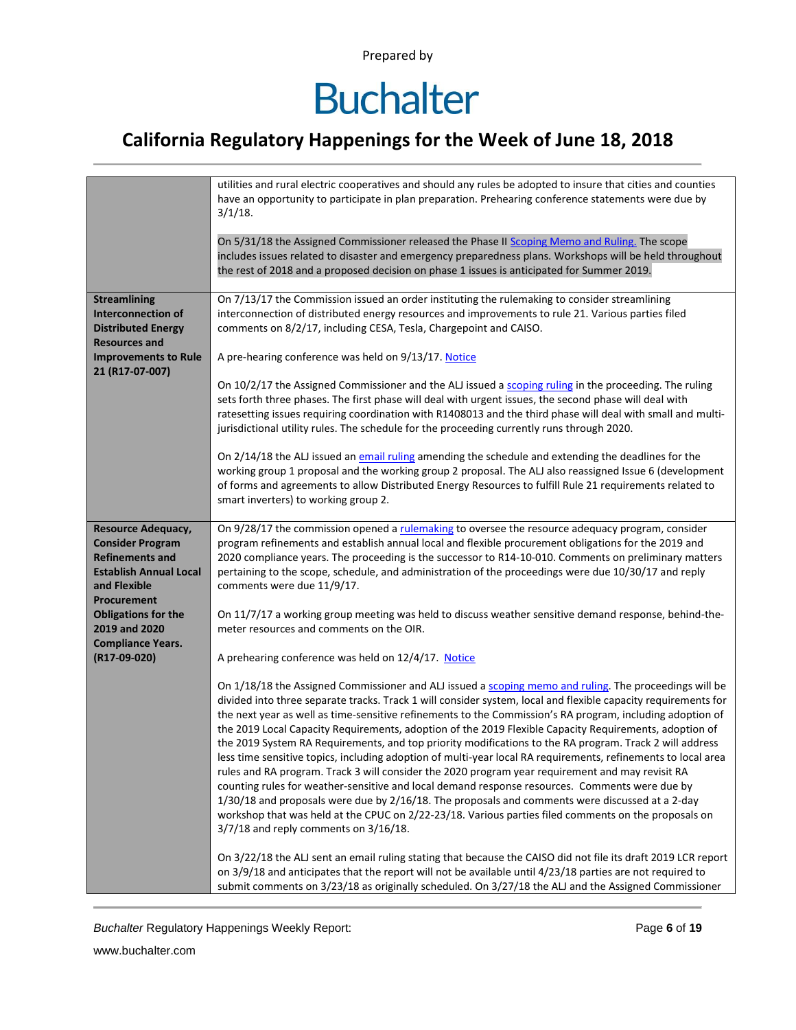# **Buchalter**

### **California Regulatory Happenings for the Week of June 18, 2018**

|                                                                                                                                                         | utilities and rural electric cooperatives and should any rules be adopted to insure that cities and counties<br>have an opportunity to participate in plan preparation. Prehearing conference statements were due by<br>$3/1/18$ .<br>On 5/31/18 the Assigned Commissioner released the Phase II Scoping Memo and Ruling. The scope<br>includes issues related to disaster and emergency preparedness plans. Workshops will be held throughout<br>the rest of 2018 and a proposed decision on phase 1 issues is anticipated for Summer 2019.                                                                                                                                                                                                                                                                                                                                                                                                                                                                                                                                                                                          |
|---------------------------------------------------------------------------------------------------------------------------------------------------------|---------------------------------------------------------------------------------------------------------------------------------------------------------------------------------------------------------------------------------------------------------------------------------------------------------------------------------------------------------------------------------------------------------------------------------------------------------------------------------------------------------------------------------------------------------------------------------------------------------------------------------------------------------------------------------------------------------------------------------------------------------------------------------------------------------------------------------------------------------------------------------------------------------------------------------------------------------------------------------------------------------------------------------------------------------------------------------------------------------------------------------------|
| <b>Streamlining</b><br><b>Interconnection of</b><br><b>Distributed Energy</b><br><b>Resources and</b><br><b>Improvements to Rule</b><br>21 (R17-07-007) | On 7/13/17 the Commission issued an order instituting the rulemaking to consider streamlining<br>interconnection of distributed energy resources and improvements to rule 21. Various parties filed<br>comments on 8/2/17, including CESA, Tesla, Chargepoint and CAISO.<br>A pre-hearing conference was held on 9/13/17. Notice<br>On 10/2/17 the Assigned Commissioner and the ALJ issued a scoping ruling in the proceeding. The ruling                                                                                                                                                                                                                                                                                                                                                                                                                                                                                                                                                                                                                                                                                            |
|                                                                                                                                                         | sets forth three phases. The first phase will deal with urgent issues, the second phase will deal with<br>ratesetting issues requiring coordination with R1408013 and the third phase will deal with small and multi-<br>jurisdictional utility rules. The schedule for the proceeding currently runs through 2020.<br>On 2/14/18 the ALJ issued an email ruling amending the schedule and extending the deadlines for the<br>working group 1 proposal and the working group 2 proposal. The ALJ also reassigned Issue 6 (development<br>of forms and agreements to allow Distributed Energy Resources to fulfill Rule 21 requirements related to<br>smart inverters) to working group 2.                                                                                                                                                                                                                                                                                                                                                                                                                                             |
| <b>Resource Adequacy,</b><br><b>Consider Program</b><br><b>Refinements and</b><br><b>Establish Annual Local</b><br>and Flexible<br><b>Procurement</b>   | On 9/28/17 the commission opened a rulemaking to oversee the resource adequacy program, consider<br>program refinements and establish annual local and flexible procurement obligations for the 2019 and<br>2020 compliance years. The proceeding is the successor to R14-10-010. Comments on preliminary matters<br>pertaining to the scope, schedule, and administration of the proceedings were due 10/30/17 and reply<br>comments were due 11/9/17.                                                                                                                                                                                                                                                                                                                                                                                                                                                                                                                                                                                                                                                                               |
| <b>Obligations for the</b><br>2019 and 2020<br><b>Compliance Years.</b><br>(R17-09-020)                                                                 | On 11/7/17 a working group meeting was held to discuss weather sensitive demand response, behind-the-<br>meter resources and comments on the OIR.<br>A prehearing conference was held on 12/4/17. Notice                                                                                                                                                                                                                                                                                                                                                                                                                                                                                                                                                                                                                                                                                                                                                                                                                                                                                                                              |
|                                                                                                                                                         | On 1/18/18 the Assigned Commissioner and ALJ issued a scoping memo and ruling. The proceedings will be<br>divided into three separate tracks. Track 1 will consider system, local and flexible capacity requirements for<br>the next year as well as time-sensitive refinements to the Commission's RA program, including adoption of<br>the 2019 Local Capacity Requirements, adoption of the 2019 Flexible Capacity Requirements, adoption of<br>the 2019 System RA Requirements, and top priority modifications to the RA program. Track 2 will address<br>less time sensitive topics, including adoption of multi-year local RA requirements, refinements to local area<br>rules and RA program. Track 3 will consider the 2020 program year requirement and may revisit RA<br>counting rules for weather-sensitive and local demand response resources. Comments were due by<br>1/30/18 and proposals were due by 2/16/18. The proposals and comments were discussed at a 2-day<br>workshop that was held at the CPUC on 2/22-23/18. Various parties filed comments on the proposals on<br>3/7/18 and reply comments on 3/16/18. |
|                                                                                                                                                         | On 3/22/18 the ALJ sent an email ruling stating that because the CAISO did not file its draft 2019 LCR report<br>on 3/9/18 and anticipates that the report will not be available until 4/23/18 parties are not required to<br>submit comments on 3/23/18 as originally scheduled. On 3/27/18 the ALJ and the Assigned Commissioner                                                                                                                                                                                                                                                                                                                                                                                                                                                                                                                                                                                                                                                                                                                                                                                                    |

**Buchalter Regulatory Happenings Weekly Report:** Page 6 of 19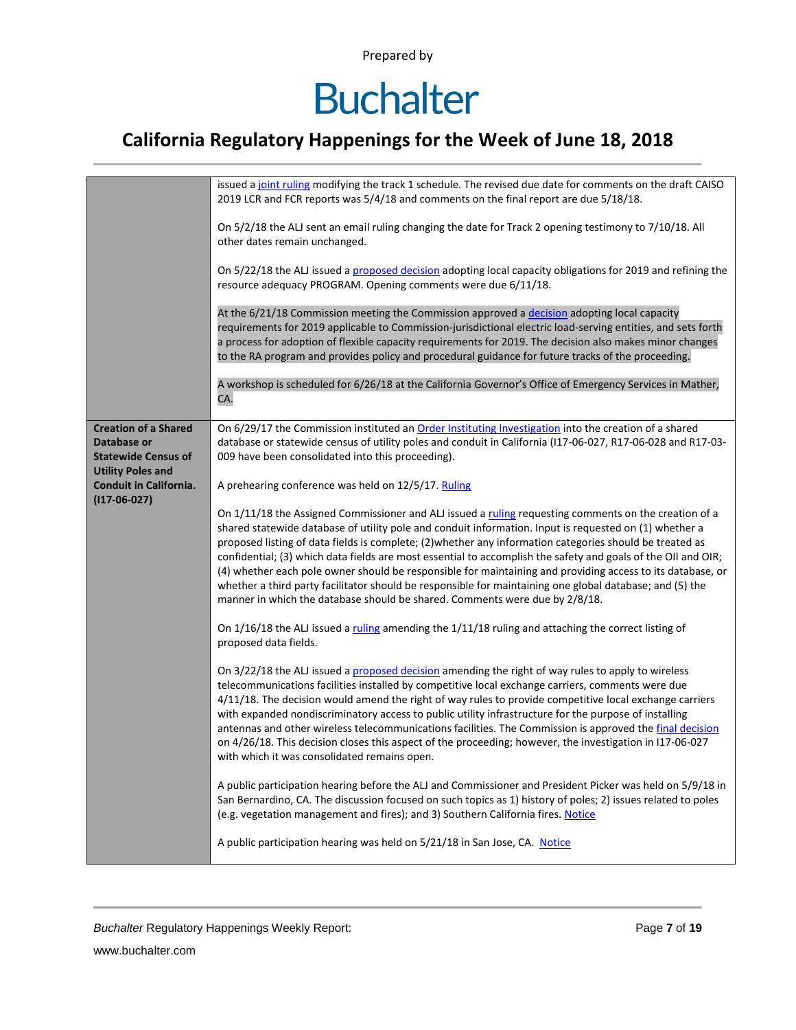# **Buchalter**

### **California Regulatory Happenings for the Week of June 18, 2018**

|                                                                                                      | issued a joint ruling modifying the track 1 schedule. The revised due date for comments on the draft CAISO<br>2019 LCR and FCR reports was 5/4/18 and comments on the final report are due 5/18/18.                                                                                                                                                                                                                                                                                                                                                                                                                                                                                                                                                   |
|------------------------------------------------------------------------------------------------------|-------------------------------------------------------------------------------------------------------------------------------------------------------------------------------------------------------------------------------------------------------------------------------------------------------------------------------------------------------------------------------------------------------------------------------------------------------------------------------------------------------------------------------------------------------------------------------------------------------------------------------------------------------------------------------------------------------------------------------------------------------|
|                                                                                                      | On 5/2/18 the ALJ sent an email ruling changing the date for Track 2 opening testimony to 7/10/18. All<br>other dates remain unchanged.                                                                                                                                                                                                                                                                                                                                                                                                                                                                                                                                                                                                               |
|                                                                                                      | On 5/22/18 the ALJ issued a proposed decision adopting local capacity obligations for 2019 and refining the<br>resource adequacy PROGRAM. Opening comments were due 6/11/18.                                                                                                                                                                                                                                                                                                                                                                                                                                                                                                                                                                          |
|                                                                                                      | At the 6/21/18 Commission meeting the Commission approved a decision adopting local capacity<br>requirements for 2019 applicable to Commission-jurisdictional electric load-serving entities, and sets forth<br>a process for adoption of flexible capacity requirements for 2019. The decision also makes minor changes<br>to the RA program and provides policy and procedural guidance for future tracks of the proceeding.                                                                                                                                                                                                                                                                                                                        |
|                                                                                                      | A workshop is scheduled for 6/26/18 at the California Governor's Office of Emergency Services in Mather,<br>CA.                                                                                                                                                                                                                                                                                                                                                                                                                                                                                                                                                                                                                                       |
| <b>Creation of a Shared</b><br>Database or<br><b>Statewide Census of</b><br><b>Utility Poles and</b> | On 6/29/17 the Commission instituted an Order Instituting Investigation into the creation of a shared<br>database or statewide census of utility poles and conduit in California (117-06-027, R17-06-028 and R17-03-<br>009 have been consolidated into this proceeding).                                                                                                                                                                                                                                                                                                                                                                                                                                                                             |
| <b>Conduit in California.</b><br>$(117-06-027)$                                                      | A prehearing conference was held on 12/5/17. Ruling                                                                                                                                                                                                                                                                                                                                                                                                                                                                                                                                                                                                                                                                                                   |
|                                                                                                      | On 1/11/18 the Assigned Commissioner and ALJ issued a ruling requesting comments on the creation of a<br>shared statewide database of utility pole and conduit information. Input is requested on (1) whether a<br>proposed listing of data fields is complete; (2) whether any information categories should be treated as<br>confidential; (3) which data fields are most essential to accomplish the safety and goals of the OII and OIR;<br>(4) whether each pole owner should be responsible for maintaining and providing access to its database, or<br>whether a third party facilitator should be responsible for maintaining one global database; and (5) the<br>manner in which the database should be shared. Comments were due by 2/8/18. |
|                                                                                                      | On $1/16/18$ the ALJ issued a ruling amending the $1/11/18$ ruling and attaching the correct listing of<br>proposed data fields.                                                                                                                                                                                                                                                                                                                                                                                                                                                                                                                                                                                                                      |
|                                                                                                      | On 3/22/18 the ALJ issued a proposed decision amending the right of way rules to apply to wireless<br>telecommunications facilities installed by competitive local exchange carriers, comments were due<br>4/11/18. The decision would amend the right of way rules to provide competitive local exchange carriers<br>with expanded nondiscriminatory access to public utility infrastructure for the purpose of installing<br>antennas and other wireless telecommunications facilities. The Commission is approved the final decision<br>on 4/26/18. This decision closes this aspect of the proceeding; however, the investigation in I17-06-027<br>with which it was consolidated remains open.                                                   |
|                                                                                                      | A public participation hearing before the ALJ and Commissioner and President Picker was held on 5/9/18 in<br>San Bernardino, CA. The discussion focused on such topics as 1) history of poles; 2) issues related to poles<br>(e.g. vegetation management and fires); and 3) Southern California fires. Notice                                                                                                                                                                                                                                                                                                                                                                                                                                         |
|                                                                                                      | A public participation hearing was held on 5/21/18 in San Jose, CA. Notice                                                                                                                                                                                                                                                                                                                                                                                                                                                                                                                                                                                                                                                                            |

**Buchalter Regulatory Happenings Weekly Report:** Page 7 of 19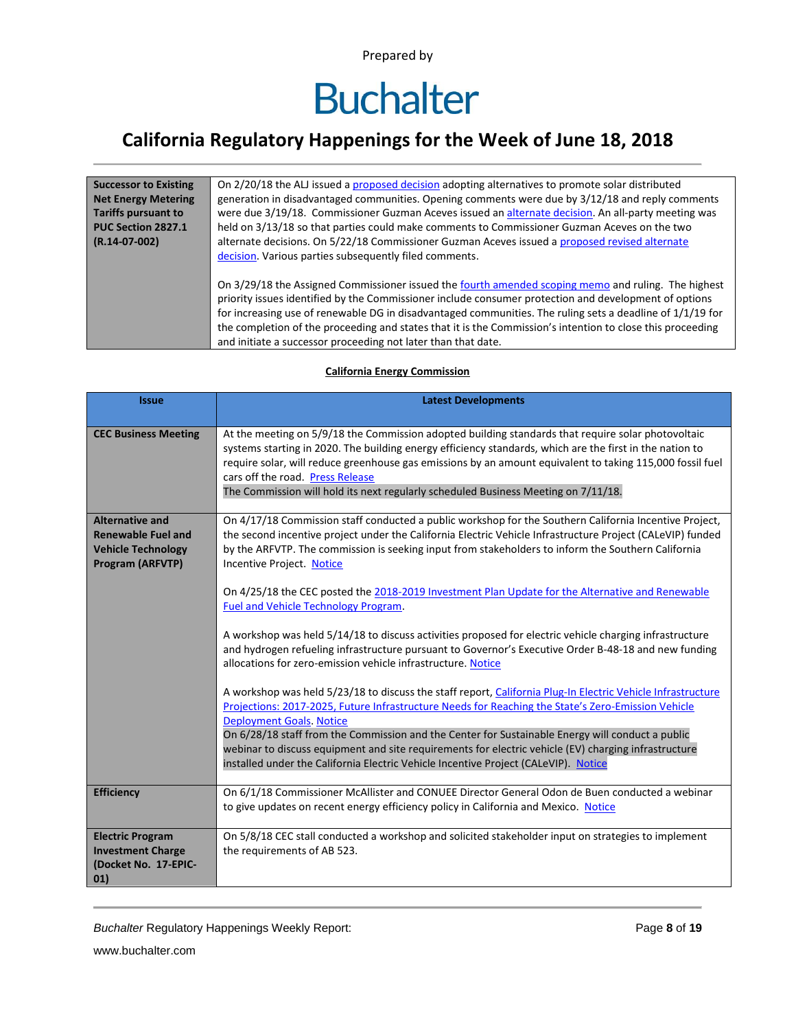### **California Regulatory Happenings for the Week of June 18, 2018**

| <b>Successor to Existing</b> | On 2/20/18 the ALJ issued a proposed decision adopting alternatives to promote solar distributed            |
|------------------------------|-------------------------------------------------------------------------------------------------------------|
| <b>Net Energy Metering</b>   | generation in disadvantaged communities. Opening comments were due by 3/12/18 and reply comments            |
| <b>Tariffs pursuant to</b>   | were due 3/19/18. Commissioner Guzman Aceves issued an alternate decision. An all-party meeting was         |
| PUC Section 2827.1           | held on 3/13/18 so that parties could make comments to Commissioner Guzman Aceves on the two                |
| $(R.14-07-002)$              | alternate decisions. On 5/22/18 Commissioner Guzman Aceves issued a proposed revised alternate              |
|                              | decision. Various parties subsequently filed comments.                                                      |
|                              |                                                                                                             |
|                              | On 3/29/18 the Assigned Commissioner issued the fourth amended scoping memo and ruling. The highest         |
|                              | priority issues identified by the Commissioner include consumer protection and development of options       |
|                              | for increasing use of renewable DG in disadvantaged communities. The ruling sets a deadline of $1/1/19$ for |
|                              | the completion of the proceeding and states that it is the Commission's intention to close this proceeding  |
|                              | and initiate a successor proceeding not later than that date.                                               |

#### **Issue Latest Developments CEC Business Meeting** At the meeting on 5/9/18 the Commission adopted building standards that require solar photovoltaic systems starting in 2020. The building energy efficiency standards, which are the first in the nation to require solar, will reduce greenhouse gas emissions by an amount equivalent to taking 115,000 fossil fuel cars off the road. [Press Release](http://www.energy.ca.gov/releases/2018_releases/2018-05-09_building_standards_adopted_nr.html) The Commission will hold its next regularly scheduled Business Meeting on 7/11/18. **Alternative and Renewable Fuel and Vehicle Technology Program (ARFVTP)** On 4/17/18 Commission staff conducted a public workshop for the Southern California Incentive Project, the second incentive project under the California Electric Vehicle Infrastructure Project (CALeVIP) funded by the ARFVTP. The commission is seeking input from stakeholders to inform the Southern California Incentive Project. [Notice](http://energy.ca.gov/calendar/index.php?eID=3125) On 4/25/18 the CEC posted the [2018-2019 Investment Plan Update](http://docketpublic.energy.ca.gov/PublicDocuments/17-ALT-01/TN223279_20180425T130339_20182019_Investment_Plan_Update_for_the_Alternative_and_Renewab.pdf) for the Alternative and Renewable [Fuel and Vehicle Technology Program.](http://docketpublic.energy.ca.gov/PublicDocuments/17-ALT-01/TN223279_20180425T130339_20182019_Investment_Plan_Update_for_the_Alternative_and_Renewab.pdf) A workshop was held 5/14/18 to discuss activities proposed for electric vehicle charging infrastructure and hydrogen refueling infrastructure pursuant to Governor's Executive Order B-48-18 and new funding allocations for zero-emission vehicle infrastructure[. Notice](http://docketpublic.energy.ca.gov/PublicDocuments/18-HYD-01/TN223180_20180411T153528_Staff_Workshop_Notice.pdf) A workshop was held 5/23/18 to discuss the staff report[, California Plug-In Electric Vehicle Infrastructure](http://docketpublic.energy.ca.gov/PublicDocuments/17-ALT-01/TN222986_20180316T143039_Staff_Report__California_PlugIn_Electric_Vehicle_Infrastructure.pdf)  Projections: 2017-[2025, Future Infrastructure Needs for Reaching the State's Zero](http://docketpublic.energy.ca.gov/PublicDocuments/17-ALT-01/TN222986_20180316T143039_Staff_Report__California_PlugIn_Electric_Vehicle_Infrastructure.pdf)-Emission Vehicle [Deployment Goals.](http://docketpublic.energy.ca.gov/PublicDocuments/17-ALT-01/TN222986_20180316T143039_Staff_Report__California_PlugIn_Electric_Vehicle_Infrastructure.pdf) [Notice](http://docketpublic.energy.ca.gov/PublicDocuments/18-EVI-01/TN223297_20180430T150043_Staff_Workshop_Notice.pdf) On 6/28/18 staff from the Commission and the Center for Sustainable Energy will conduct a public webinar to discuss equipment and site requirements for electric vehicle (EV) charging infrastructure installed under the California Electric Vehicle Incentive Project (CALeVIP). [Notice](http://energy.ca.gov/calendar/index.php?eID=3148) **Efficiency On 6/1/18 Commissioner McAllister and CONUEE Director General Odon de Buen conducted a webinar** to give updates on recent energy efficiency policy in California and Mexico. [Notice](http://energy.ca.gov/calendar/index.php?eID=3141) **Electric Program Investment Charge (Docket No. 17-EPIC-01)** On 5/8/18 CEC stall conducted a workshop and solicited stakeholder input on strategies to implement the requirements of AB 523.

#### **California Energy Commission**

*Buchalter* Regulatory Happenings Weekly Report: Page **8** of **19**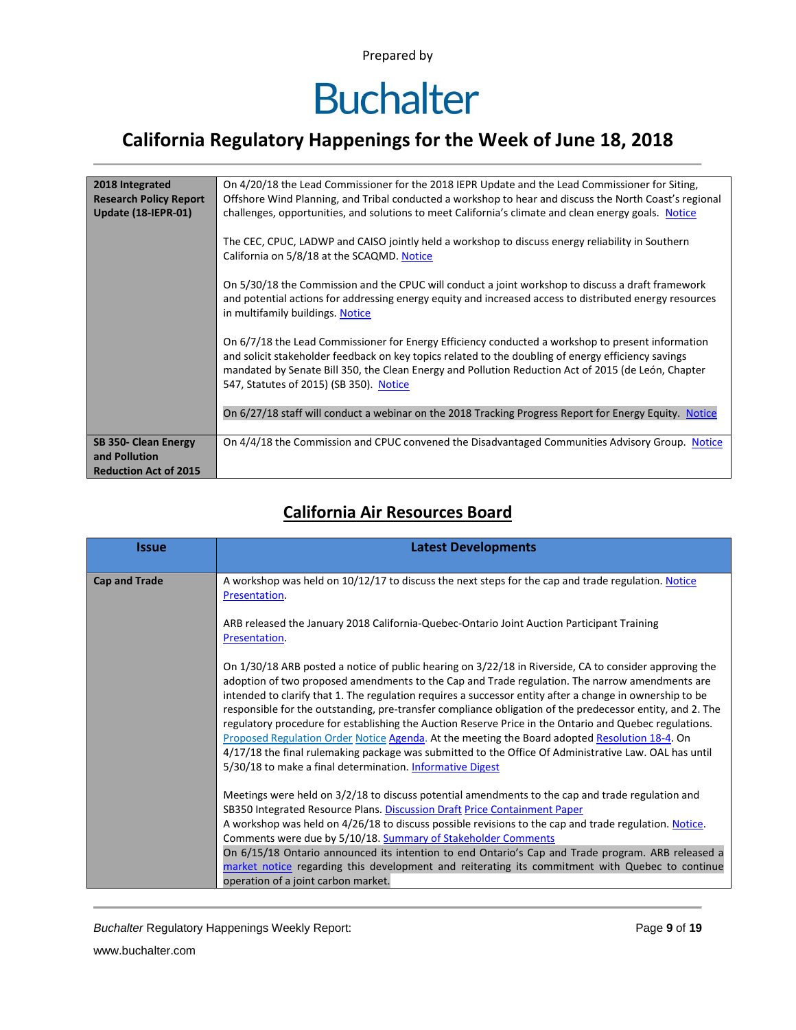# **Buchalter**

### **California Regulatory Happenings for the Week of June 18, 2018**

| 2018 Integrated<br><b>Research Policy Report</b> | On 4/20/18 the Lead Commissioner for the 2018 IEPR Update and the Lead Commissioner for Siting,<br>Offshore Wind Planning, and Tribal conducted a workshop to hear and discuss the North Coast's regional                                                                                                                                                  |
|--------------------------------------------------|------------------------------------------------------------------------------------------------------------------------------------------------------------------------------------------------------------------------------------------------------------------------------------------------------------------------------------------------------------|
| Update (18-IEPR-01)                              | challenges, opportunities, and solutions to meet California's climate and clean energy goals. Notice                                                                                                                                                                                                                                                       |
|                                                  | The CEC, CPUC, LADWP and CAISO jointly held a workshop to discuss energy reliability in Southern<br>California on 5/8/18 at the SCAQMD. Notice                                                                                                                                                                                                             |
|                                                  | On 5/30/18 the Commission and the CPUC will conduct a joint workshop to discuss a draft framework<br>and potential actions for addressing energy equity and increased access to distributed energy resources<br>in multifamily buildings. Notice                                                                                                           |
|                                                  | On 6/7/18 the Lead Commissioner for Energy Efficiency conducted a workshop to present information<br>and solicit stakeholder feedback on key topics related to the doubling of energy efficiency savings<br>mandated by Senate Bill 350, the Clean Energy and Pollution Reduction Act of 2015 (de León, Chapter<br>547, Statutes of 2015) (SB 350). Notice |
|                                                  | On 6/27/18 staff will conduct a webinar on the 2018 Tracking Progress Report for Energy Equity. Notice                                                                                                                                                                                                                                                     |
| SB 350- Clean Energy<br>and Pollution            | On 4/4/18 the Commission and CPUC convened the Disadvantaged Communities Advisory Group. Notice                                                                                                                                                                                                                                                            |
| <b>Reduction Act of 2015</b>                     |                                                                                                                                                                                                                                                                                                                                                            |

#### **California Air Resources Board**

| <b>Issue</b>         | <b>Latest Developments</b>                                                                                                                                                                                                                                                                                                                                                                                                                                                                                                                                                                                                                                                                                                                                                                                         |
|----------------------|--------------------------------------------------------------------------------------------------------------------------------------------------------------------------------------------------------------------------------------------------------------------------------------------------------------------------------------------------------------------------------------------------------------------------------------------------------------------------------------------------------------------------------------------------------------------------------------------------------------------------------------------------------------------------------------------------------------------------------------------------------------------------------------------------------------------|
| <b>Cap and Trade</b> | A workshop was held on 10/12/17 to discuss the next steps for the cap and trade regulation. Notice<br>Presentation.                                                                                                                                                                                                                                                                                                                                                                                                                                                                                                                                                                                                                                                                                                |
|                      | ARB released the January 2018 California-Quebec-Ontario Joint Auction Participant Training<br>Presentation.                                                                                                                                                                                                                                                                                                                                                                                                                                                                                                                                                                                                                                                                                                        |
|                      | On 1/30/18 ARB posted a notice of public hearing on 3/22/18 in Riverside, CA to consider approving the<br>adoption of two proposed amendments to the Cap and Trade regulation. The narrow amendments are<br>intended to clarify that 1. The regulation requires a successor entity after a change in ownership to be<br>responsible for the outstanding, pre-transfer compliance obligation of the predecessor entity, and 2. The<br>regulatory procedure for establishing the Auction Reserve Price in the Ontario and Quebec regulations.<br>Proposed Regulation Order Notice Agenda. At the meeting the Board adopted Resolution 18-4. On<br>4/17/18 the final rulemaking package was submitted to the Office Of Administrative Law. OAL has until<br>5/30/18 to make a final determination. Informative Digest |
|                      | Meetings were held on 3/2/18 to discuss potential amendments to the cap and trade regulation and<br>SB350 Integrated Resource Plans. Discussion Draft Price Containment Paper<br>A workshop was held on 4/26/18 to discuss possible revisions to the cap and trade regulation. Notice.<br>Comments were due by 5/10/18. Summary of Stakeholder Comments<br>On 6/15/18 Ontario announced its intention to end Ontario's Cap and Trade program. ARB released a<br>market notice regarding this development and reiterating its commitment with Quebec to continue                                                                                                                                                                                                                                                    |
|                      | operation of a joint carbon market.                                                                                                                                                                                                                                                                                                                                                                                                                                                                                                                                                                                                                                                                                                                                                                                |

**Buchalter Regulatory Happenings Weekly Report:** Page 9 of 19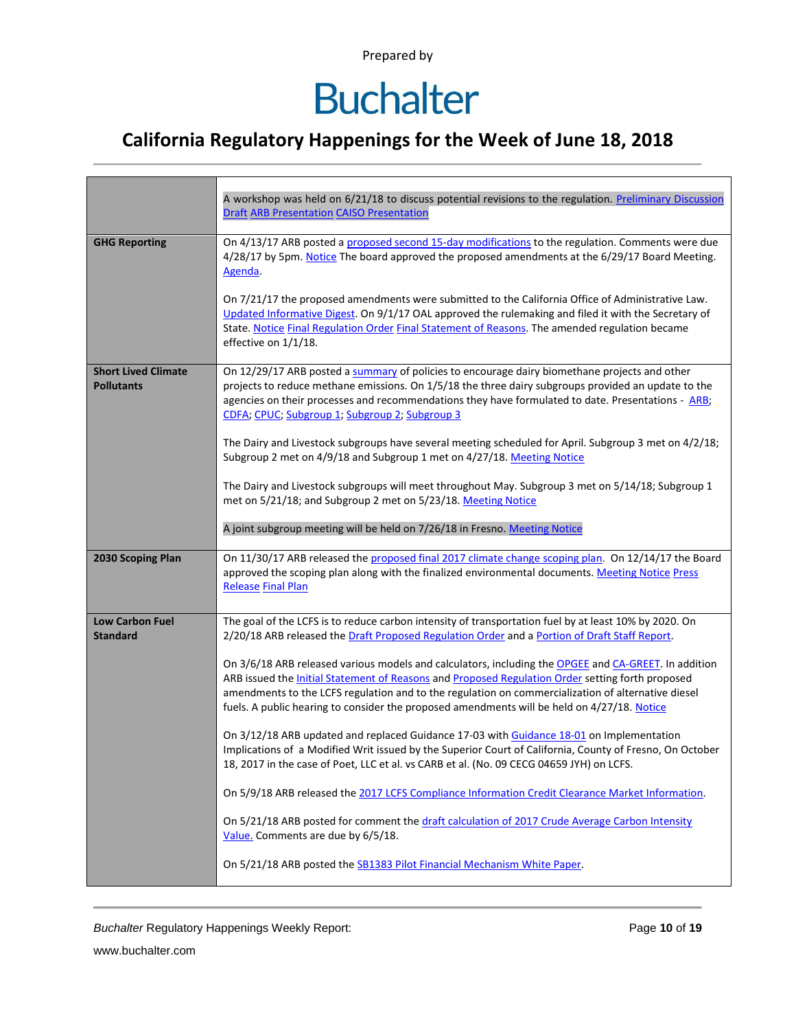# **Buchalter**

### **California Regulatory Happenings for the Week of June 18, 2018**

|                                                 | A workshop was held on 6/21/18 to discuss potential revisions to the regulation. Preliminary Discussion<br><b>Draft ARB Presentation CAISO Presentation</b>                                                                                                                                                                                                                                                          |
|-------------------------------------------------|----------------------------------------------------------------------------------------------------------------------------------------------------------------------------------------------------------------------------------------------------------------------------------------------------------------------------------------------------------------------------------------------------------------------|
| <b>GHG Reporting</b>                            | On 4/13/17 ARB posted a proposed second 15-day modifications to the regulation. Comments were due<br>4/28/17 by 5pm. Notice The board approved the proposed amendments at the 6/29/17 Board Meeting.<br>Agenda.                                                                                                                                                                                                      |
|                                                 | On 7/21/17 the proposed amendments were submitted to the California Office of Administrative Law.<br>Updated Informative Digest. On 9/1/17 OAL approved the rulemaking and filed it with the Secretary of<br>State. Notice Final Regulation Order Final Statement of Reasons. The amended regulation became<br>effective on 1/1/18.                                                                                  |
| <b>Short Lived Climate</b><br><b>Pollutants</b> | On 12/29/17 ARB posted a summary of policies to encourage dairy biomethane projects and other<br>projects to reduce methane emissions. On 1/5/18 the three dairy subgroups provided an update to the<br>agencies on their processes and recommendations they have formulated to date. Presentations - ARB;<br>CDFA; CPUC; Subgroup 1; Subgroup 2; Subgroup 3                                                         |
|                                                 | The Dairy and Livestock subgroups have several meeting scheduled for April. Subgroup 3 met on 4/2/18;<br>Subgroup 2 met on 4/9/18 and Subgroup 1 met on 4/27/18. Meeting Notice                                                                                                                                                                                                                                      |
|                                                 | The Dairy and Livestock subgroups will meet throughout May. Subgroup 3 met on 5/14/18; Subgroup 1<br>met on 5/21/18; and Subgroup 2 met on 5/23/18. Meeting Notice                                                                                                                                                                                                                                                   |
|                                                 | A joint subgroup meeting will be held on 7/26/18 in Fresno. Meeting Notice                                                                                                                                                                                                                                                                                                                                           |
| 2030 Scoping Plan                               | On 11/30/17 ARB released the proposed final 2017 climate change scoping plan. On 12/14/17 the Board<br>approved the scoping plan along with the finalized environmental documents. Meeting Notice Press<br><b>Release Final Plan</b>                                                                                                                                                                                 |
| <b>Low Carbon Fuel</b><br><b>Standard</b>       | The goal of the LCFS is to reduce carbon intensity of transportation fuel by at least 10% by 2020. On<br>2/20/18 ARB released the Draft Proposed Regulation Order and a Portion of Draft Staff Report.                                                                                                                                                                                                               |
|                                                 | On 3/6/18 ARB released various models and calculators, including the OPGEE and CA-GREET. In addition<br>ARB issued the <b>Initial Statement of Reasons and Proposed Regulation Order setting forth proposed</b><br>amendments to the LCFS regulation and to the regulation on commercialization of alternative diesel<br>fuels. A public hearing to consider the proposed amendments will be held on 4/27/18. Notice |
|                                                 | On 3/12/18 ARB updated and replaced Guidance 17-03 with Guidance 18-01 on Implementation<br>Implications of a Modified Writ issued by the Superior Court of California, County of Fresno, On October<br>18, 2017 in the case of Poet, LLC et al. vs CARB et al. (No. 09 CECG 04659 JYH) on LCFS.                                                                                                                     |
|                                                 | On 5/9/18 ARB released the 2017 LCFS Compliance Information Credit Clearance Market Information.                                                                                                                                                                                                                                                                                                                     |
|                                                 | On 5/21/18 ARB posted for comment the draft calculation of 2017 Crude Average Carbon Intensity<br>Value. Comments are due by 6/5/18.                                                                                                                                                                                                                                                                                 |
|                                                 | On 5/21/18 ARB posted the SB1383 Pilot Financial Mechanism White Paper.                                                                                                                                                                                                                                                                                                                                              |

**Buchalter Regulatory Happenings Weekly Report:** Page 10 of 19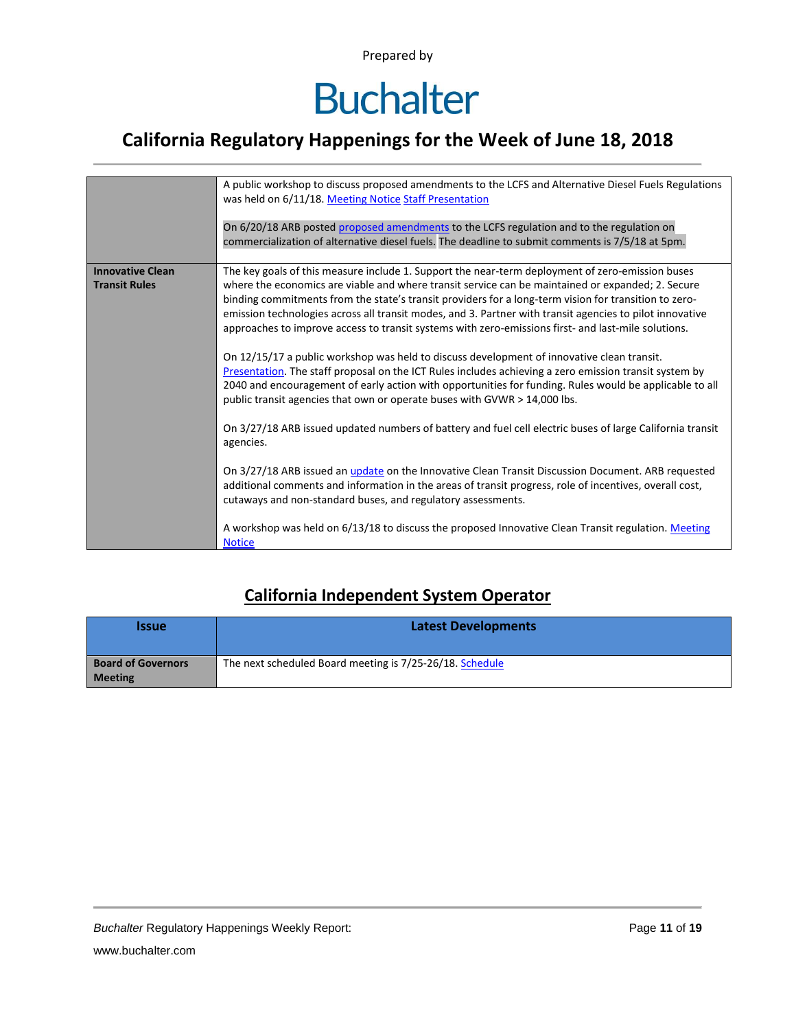# **Buchalter**

### **California Regulatory Happenings for the Week of June 18, 2018**

|                                                 | A public workshop to discuss proposed amendments to the LCFS and Alternative Diesel Fuels Regulations<br>was held on 6/11/18. Meeting Notice Staff Presentation                                                                                                                                                                                                                                                                                                                                                                                                                                                                                                                                                                                                                                                                                                                                                                                                                                                                                                                                                                                                                                                                                                                                                                                     |
|-------------------------------------------------|-----------------------------------------------------------------------------------------------------------------------------------------------------------------------------------------------------------------------------------------------------------------------------------------------------------------------------------------------------------------------------------------------------------------------------------------------------------------------------------------------------------------------------------------------------------------------------------------------------------------------------------------------------------------------------------------------------------------------------------------------------------------------------------------------------------------------------------------------------------------------------------------------------------------------------------------------------------------------------------------------------------------------------------------------------------------------------------------------------------------------------------------------------------------------------------------------------------------------------------------------------------------------------------------------------------------------------------------------------|
|                                                 | On 6/20/18 ARB posted proposed amendments to the LCFS regulation and to the regulation on<br>commercialization of alternative diesel fuels. The deadline to submit comments is 7/5/18 at 5pm.                                                                                                                                                                                                                                                                                                                                                                                                                                                                                                                                                                                                                                                                                                                                                                                                                                                                                                                                                                                                                                                                                                                                                       |
| <b>Innovative Clean</b><br><b>Transit Rules</b> | The key goals of this measure include 1. Support the near-term deployment of zero-emission buses<br>where the economics are viable and where transit service can be maintained or expanded; 2. Secure<br>binding commitments from the state's transit providers for a long-term vision for transition to zero-<br>emission technologies across all transit modes, and 3. Partner with transit agencies to pilot innovative<br>approaches to improve access to transit systems with zero-emissions first- and last-mile solutions.<br>On 12/15/17 a public workshop was held to discuss development of innovative clean transit.<br>Presentation. The staff proposal on the ICT Rules includes achieving a zero emission transit system by<br>2040 and encouragement of early action with opportunities for funding. Rules would be applicable to all<br>public transit agencies that own or operate buses with GVWR > 14,000 lbs.<br>On 3/27/18 ARB issued updated numbers of battery and fuel cell electric buses of large California transit<br>agencies.<br>On 3/27/18 ARB issued an <i>update</i> on the Innovative Clean Transit Discussion Document. ARB requested<br>additional comments and information in the areas of transit progress, role of incentives, overall cost,<br>cutaways and non-standard buses, and regulatory assessments. |
|                                                 | A workshop was held on 6/13/18 to discuss the proposed Innovative Clean Transit regulation. Meeting<br><b>Notice</b>                                                                                                                                                                                                                                                                                                                                                                                                                                                                                                                                                                                                                                                                                                                                                                                                                                                                                                                                                                                                                                                                                                                                                                                                                                |

### **California Independent System Operator**

| <i><u><b>Issue</b></u></i>                  | <b>Latest Developments</b>                               |
|---------------------------------------------|----------------------------------------------------------|
| <b>Board of Governors</b><br><b>Meeting</b> | The next scheduled Board meeting is 7/25-26/18. Schedule |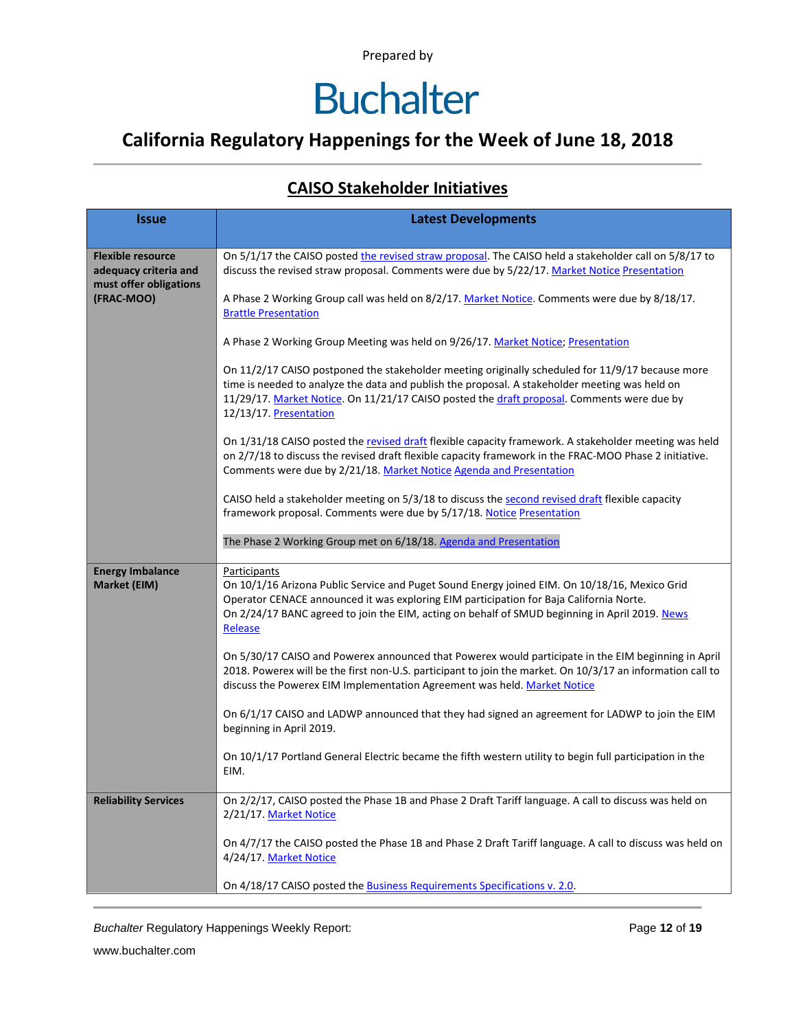### **California Regulatory Happenings for the Week of June 18, 2018**

#### **CAISO Stakeholder Initiatives**

| <b>Issue</b>                                                                | <b>Latest Developments</b>                                                                                                                                                                                                                                                                                                 |  |  |  |  |
|-----------------------------------------------------------------------------|----------------------------------------------------------------------------------------------------------------------------------------------------------------------------------------------------------------------------------------------------------------------------------------------------------------------------|--|--|--|--|
|                                                                             |                                                                                                                                                                                                                                                                                                                            |  |  |  |  |
| <b>Flexible resource</b><br>adequacy criteria and<br>must offer obligations | On 5/1/17 the CAISO posted the revised straw proposal. The CAISO held a stakeholder call on 5/8/17 to<br>discuss the revised straw proposal. Comments were due by 5/22/17. Market Notice Presentation                                                                                                                      |  |  |  |  |
| (FRAC-MOO)                                                                  | A Phase 2 Working Group call was held on 8/2/17. Market Notice. Comments were due by 8/18/17.<br><b>Brattle Presentation</b>                                                                                                                                                                                               |  |  |  |  |
|                                                                             | A Phase 2 Working Group Meeting was held on 9/26/17. Market Notice; Presentation                                                                                                                                                                                                                                           |  |  |  |  |
|                                                                             | On 11/2/17 CAISO postponed the stakeholder meeting originally scheduled for 11/9/17 because more<br>time is needed to analyze the data and publish the proposal. A stakeholder meeting was held on<br>11/29/17. Market Notice. On 11/21/17 CAISO posted the draft proposal. Comments were due by<br>12/13/17. Presentation |  |  |  |  |
|                                                                             | On 1/31/18 CAISO posted the revised draft flexible capacity framework. A stakeholder meeting was held<br>on 2/7/18 to discuss the revised draft flexible capacity framework in the FRAC-MOO Phase 2 initiative.<br>Comments were due by 2/21/18. Market Notice Agenda and Presentation                                     |  |  |  |  |
|                                                                             | CAISO held a stakeholder meeting on 5/3/18 to discuss the second revised draft flexible capacity<br>framework proposal. Comments were due by 5/17/18. Notice Presentation                                                                                                                                                  |  |  |  |  |
|                                                                             | The Phase 2 Working Group met on 6/18/18. Agenda and Presentation                                                                                                                                                                                                                                                          |  |  |  |  |
| <b>Energy Imbalance</b><br>Market (EIM)                                     | Participants<br>On 10/1/16 Arizona Public Service and Puget Sound Energy joined EIM. On 10/18/16, Mexico Grid<br>Operator CENACE announced it was exploring EIM participation for Baja California Norte.<br>On 2/24/17 BANC agreed to join the EIM, acting on behalf of SMUD beginning in April 2019. News<br>Release      |  |  |  |  |
|                                                                             | On 5/30/17 CAISO and Powerex announced that Powerex would participate in the EIM beginning in April<br>2018. Powerex will be the first non-U.S. participant to join the market. On 10/3/17 an information call to<br>discuss the Powerex EIM Implementation Agreement was held. Market Notice                              |  |  |  |  |
|                                                                             | On 6/1/17 CAISO and LADWP announced that they had signed an agreement for LADWP to join the EIM<br>beginning in April 2019.                                                                                                                                                                                                |  |  |  |  |
|                                                                             | On 10/1/17 Portland General Electric became the fifth western utility to begin full participation in the<br>EIM.                                                                                                                                                                                                           |  |  |  |  |
| <b>Reliability Services</b>                                                 | On 2/2/17, CAISO posted the Phase 1B and Phase 2 Draft Tariff language. A call to discuss was held on<br>2/21/17. Market Notice                                                                                                                                                                                            |  |  |  |  |
|                                                                             | On 4/7/17 the CAISO posted the Phase 1B and Phase 2 Draft Tariff language. A call to discuss was held on<br>4/24/17. Market Notice                                                                                                                                                                                         |  |  |  |  |
|                                                                             | On 4/18/17 CAISO posted the <b>Business Requirements Specifications v. 2.0</b> .                                                                                                                                                                                                                                           |  |  |  |  |

**Buchalter Regulatory Happenings Weekly Report:** Page 12 of 19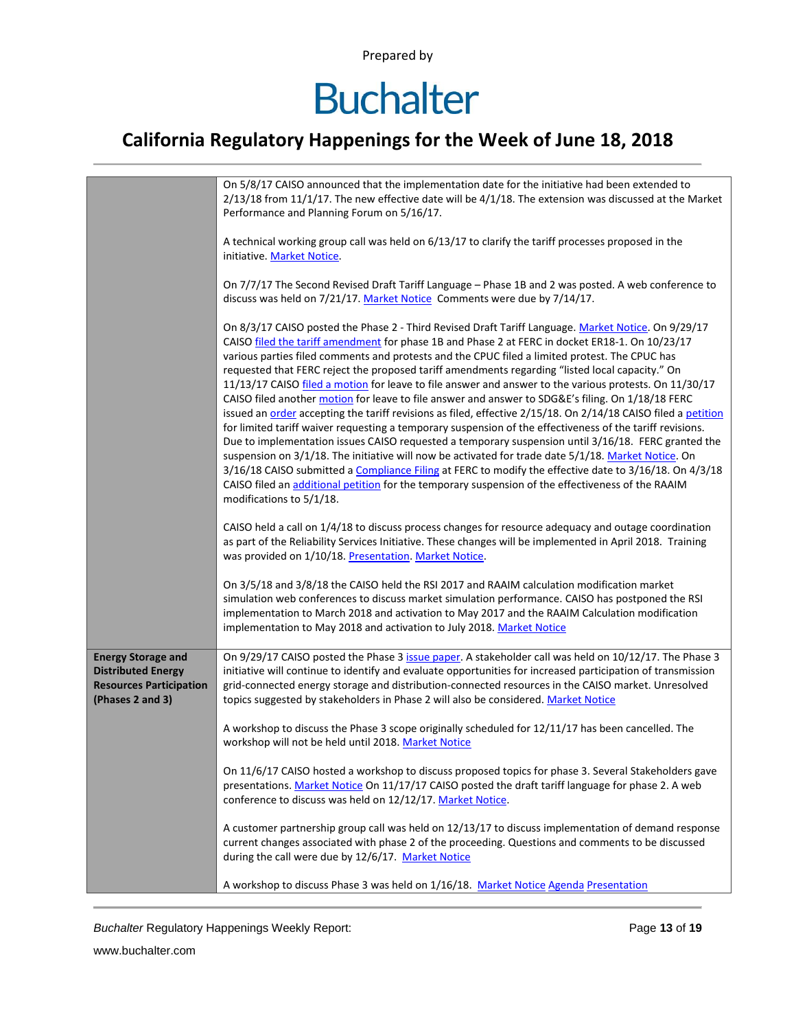# **Buchalter**

### **California Regulatory Happenings for the Week of June 18, 2018**

|                                                                                                              | On 5/8/17 CAISO announced that the implementation date for the initiative had been extended to<br>$2/13/18$ from 11/1/17. The new effective date will be $4/1/18$ . The extension was discussed at the Market<br>Performance and Planning Forum on 5/16/17.                                                                                                                                                                                                                                                                                                                                                                                                                                                                                                                                                                                                                                                                                                                                                                                                                                                                                                                                                                                                                                                       |  |  |  |  |  |
|--------------------------------------------------------------------------------------------------------------|-------------------------------------------------------------------------------------------------------------------------------------------------------------------------------------------------------------------------------------------------------------------------------------------------------------------------------------------------------------------------------------------------------------------------------------------------------------------------------------------------------------------------------------------------------------------------------------------------------------------------------------------------------------------------------------------------------------------------------------------------------------------------------------------------------------------------------------------------------------------------------------------------------------------------------------------------------------------------------------------------------------------------------------------------------------------------------------------------------------------------------------------------------------------------------------------------------------------------------------------------------------------------------------------------------------------|--|--|--|--|--|
|                                                                                                              | A technical working group call was held on 6/13/17 to clarify the tariff processes proposed in the<br>initiative. Market Notice.                                                                                                                                                                                                                                                                                                                                                                                                                                                                                                                                                                                                                                                                                                                                                                                                                                                                                                                                                                                                                                                                                                                                                                                  |  |  |  |  |  |
|                                                                                                              | On 7/7/17 The Second Revised Draft Tariff Language - Phase 1B and 2 was posted. A web conference to<br>discuss was held on 7/21/17. Market Notice Comments were due by 7/14/17.                                                                                                                                                                                                                                                                                                                                                                                                                                                                                                                                                                                                                                                                                                                                                                                                                                                                                                                                                                                                                                                                                                                                   |  |  |  |  |  |
|                                                                                                              | On 8/3/17 CAISO posted the Phase 2 - Third Revised Draft Tariff Language. Market Notice. On 9/29/17<br>CAISO filed the tariff amendment for phase 1B and Phase 2 at FERC in docket ER18-1. On 10/23/17<br>various parties filed comments and protests and the CPUC filed a limited protest. The CPUC has<br>requested that FERC reject the proposed tariff amendments regarding "listed local capacity." On<br>11/13/17 CAISO filed a motion for leave to file answer and answer to the various protests. On 11/30/17<br>CAISO filed another motion for leave to file answer and answer to SDG&E's filing. On 1/18/18 FERC<br>issued an order accepting the tariff revisions as filed, effective 2/15/18. On 2/14/18 CAISO filed a petition<br>for limited tariff waiver requesting a temporary suspension of the effectiveness of the tariff revisions.<br>Due to implementation issues CAISO requested a temporary suspension until 3/16/18. FERC granted the<br>suspension on 3/1/18. The initiative will now be activated for trade date 5/1/18. Market Notice. On<br>3/16/18 CAISO submitted a Compliance Filing at FERC to modify the effective date to 3/16/18. On 4/3/18<br>CAISO filed an additional petition for the temporary suspension of the effectiveness of the RAAIM<br>modifications to 5/1/18. |  |  |  |  |  |
|                                                                                                              | CAISO held a call on 1/4/18 to discuss process changes for resource adequacy and outage coordination<br>as part of the Reliability Services Initiative. These changes will be implemented in April 2018. Training<br>was provided on 1/10/18. Presentation. Market Notice.                                                                                                                                                                                                                                                                                                                                                                                                                                                                                                                                                                                                                                                                                                                                                                                                                                                                                                                                                                                                                                        |  |  |  |  |  |
|                                                                                                              | On 3/5/18 and 3/8/18 the CAISO held the RSI 2017 and RAAIM calculation modification market<br>simulation web conferences to discuss market simulation performance. CAISO has postponed the RSI<br>implementation to March 2018 and activation to May 2017 and the RAAIM Calculation modification<br>implementation to May 2018 and activation to July 2018. Market Notice                                                                                                                                                                                                                                                                                                                                                                                                                                                                                                                                                                                                                                                                                                                                                                                                                                                                                                                                         |  |  |  |  |  |
| <b>Energy Storage and</b><br><b>Distributed Energy</b><br><b>Resources Participation</b><br>(Phases 2 and 3) | On 9/29/17 CAISO posted the Phase 3 issue paper. A stakeholder call was held on 10/12/17. The Phase 3<br>initiative will continue to identify and evaluate opportunities for increased participation of transmission<br>grid-connected energy storage and distribution-connected resources in the CAISO market. Unresolved<br>topics suggested by stakeholders in Phase 2 will also be considered. Market Notice                                                                                                                                                                                                                                                                                                                                                                                                                                                                                                                                                                                                                                                                                                                                                                                                                                                                                                  |  |  |  |  |  |
|                                                                                                              | A workshop to discuss the Phase 3 scope originally scheduled for 12/11/17 has been cancelled. The<br>workshop will not be held until 2018. Market Notice                                                                                                                                                                                                                                                                                                                                                                                                                                                                                                                                                                                                                                                                                                                                                                                                                                                                                                                                                                                                                                                                                                                                                          |  |  |  |  |  |
|                                                                                                              | On 11/6/17 CAISO hosted a workshop to discuss proposed topics for phase 3. Several Stakeholders gave<br>presentations. Market Notice On 11/17/17 CAISO posted the draft tariff language for phase 2. A web<br>conference to discuss was held on 12/12/17. Market Notice.                                                                                                                                                                                                                                                                                                                                                                                                                                                                                                                                                                                                                                                                                                                                                                                                                                                                                                                                                                                                                                          |  |  |  |  |  |
|                                                                                                              | A customer partnership group call was held on 12/13/17 to discuss implementation of demand response<br>current changes associated with phase 2 of the proceeding. Questions and comments to be discussed<br>during the call were due by 12/6/17. Market Notice                                                                                                                                                                                                                                                                                                                                                                                                                                                                                                                                                                                                                                                                                                                                                                                                                                                                                                                                                                                                                                                    |  |  |  |  |  |
|                                                                                                              | A workshop to discuss Phase 3 was held on 1/16/18. Market Notice Agenda Presentation                                                                                                                                                                                                                                                                                                                                                                                                                                                                                                                                                                                                                                                                                                                                                                                                                                                                                                                                                                                                                                                                                                                                                                                                                              |  |  |  |  |  |

**Buchalter Regulatory Happenings Weekly Report:** Page 13 of 19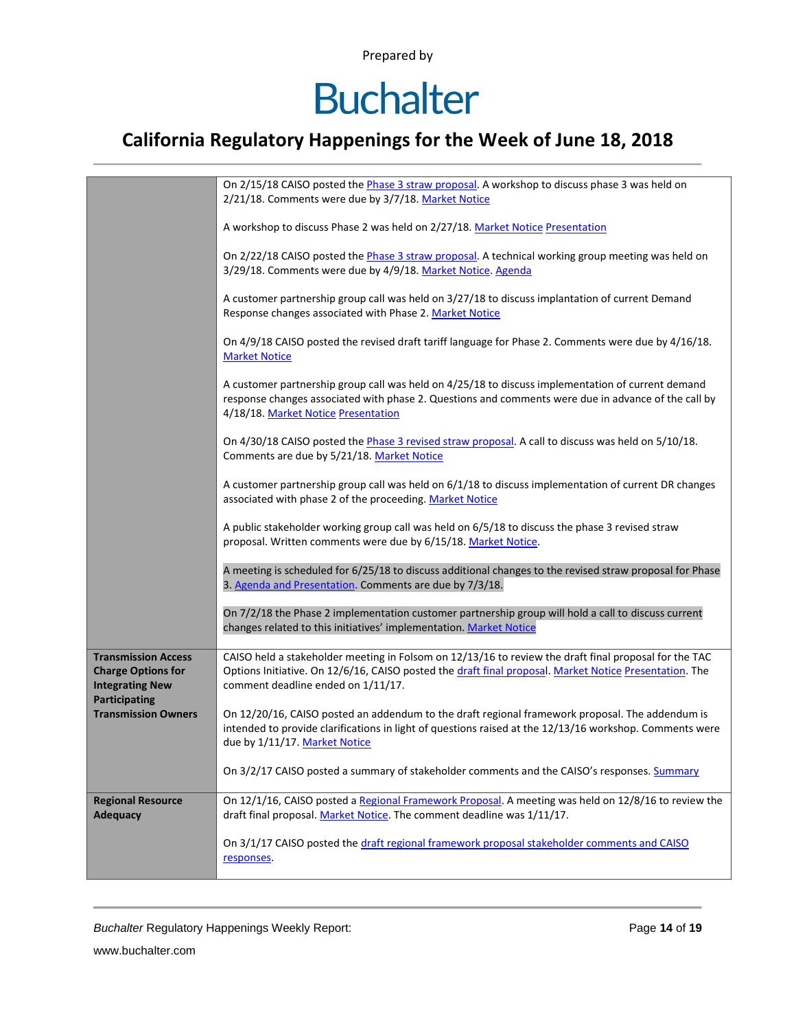# **Buchalter**

### **California Regulatory Happenings for the Week of June 18, 2018**

|                                                                                                    | On 2/15/18 CAISO posted the Phase 3 straw proposal. A workshop to discuss phase 3 was held on<br>2/21/18. Comments were due by 3/7/18. Market Notice                                                                                                  |  |  |  |  |  |
|----------------------------------------------------------------------------------------------------|-------------------------------------------------------------------------------------------------------------------------------------------------------------------------------------------------------------------------------------------------------|--|--|--|--|--|
|                                                                                                    | A workshop to discuss Phase 2 was held on 2/27/18. Market Notice Presentation                                                                                                                                                                         |  |  |  |  |  |
|                                                                                                    | On 2/22/18 CAISO posted the Phase 3 straw proposal. A technical working group meeting was held on<br>3/29/18. Comments were due by 4/9/18. Market Notice. Agenda                                                                                      |  |  |  |  |  |
|                                                                                                    | A customer partnership group call was held on 3/27/18 to discuss implantation of current Demand<br>Response changes associated with Phase 2. Market Notice                                                                                            |  |  |  |  |  |
|                                                                                                    | On 4/9/18 CAISO posted the revised draft tariff language for Phase 2. Comments were due by 4/16/18.<br><b>Market Notice</b>                                                                                                                           |  |  |  |  |  |
|                                                                                                    | A customer partnership group call was held on 4/25/18 to discuss implementation of current demand<br>response changes associated with phase 2. Questions and comments were due in advance of the call by<br>4/18/18. Market Notice Presentation       |  |  |  |  |  |
|                                                                                                    | On 4/30/18 CAISO posted the Phase 3 revised straw proposal. A call to discuss was held on 5/10/18.<br>Comments are due by 5/21/18. Market Notice                                                                                                      |  |  |  |  |  |
|                                                                                                    | A customer partnership group call was held on 6/1/18 to discuss implementation of current DR changes<br>associated with phase 2 of the proceeding. Market Notice                                                                                      |  |  |  |  |  |
|                                                                                                    | A public stakeholder working group call was held on 6/5/18 to discuss the phase 3 revised straw<br>proposal. Written comments were due by 6/15/18. Market Notice.                                                                                     |  |  |  |  |  |
|                                                                                                    | A meeting is scheduled for 6/25/18 to discuss additional changes to the revised straw proposal for Phase<br>3. Agenda and Presentation. Comments are due by 7/3/18.                                                                                   |  |  |  |  |  |
|                                                                                                    | On 7/2/18 the Phase 2 implementation customer partnership group will hold a call to discuss current<br>changes related to this initiatives' implementation. Market Notice                                                                             |  |  |  |  |  |
| <b>Transmission Access</b><br><b>Charge Options for</b><br><b>Integrating New</b><br>Participating | CAISO held a stakeholder meeting in Folsom on 12/13/16 to review the draft final proposal for the TAC<br>Options Initiative. On 12/6/16, CAISO posted the draft final proposal. Market Notice Presentation. The<br>comment deadline ended on 1/11/17. |  |  |  |  |  |
| <b>Transmission Owners</b>                                                                         | On 12/20/16, CAISO posted an addendum to the draft regional framework proposal. The addendum is<br>intended to provide clarifications in light of questions raised at the 12/13/16 workshop. Comments were<br>due by 1/11/17. Market Notice           |  |  |  |  |  |
|                                                                                                    | On 3/2/17 CAISO posted a summary of stakeholder comments and the CAISO's responses. Summary                                                                                                                                                           |  |  |  |  |  |
| <b>Regional Resource</b><br><b>Adequacy</b>                                                        | On 12/1/16, CAISO posted a Regional Framework Proposal. A meeting was held on 12/8/16 to review the<br>draft final proposal. Market Notice. The comment deadline was 1/11/17.                                                                         |  |  |  |  |  |
|                                                                                                    | On 3/1/17 CAISO posted the draft regional framework proposal stakeholder comments and CAISO<br>responses.                                                                                                                                             |  |  |  |  |  |

**Buchalter Regulatory Happenings Weekly Report:** Page 14 of 19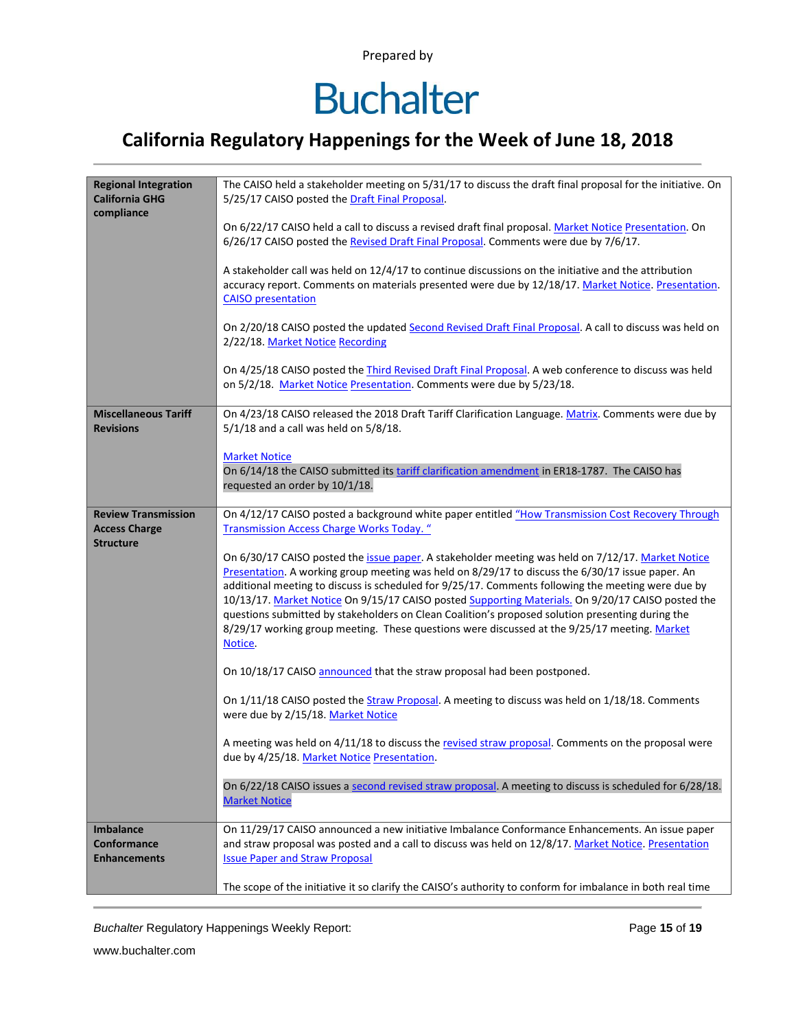# **Buchalter**

### **California Regulatory Happenings for the Week of June 18, 2018**

| <b>Regional Integration</b><br><b>California GHG</b><br>compliance | The CAISO held a stakeholder meeting on 5/31/17 to discuss the draft final proposal for the initiative. On<br>5/25/17 CAISO posted the Draft Final Proposal.                                                                             |  |  |  |  |  |  |
|--------------------------------------------------------------------|------------------------------------------------------------------------------------------------------------------------------------------------------------------------------------------------------------------------------------------|--|--|--|--|--|--|
|                                                                    | On 6/22/17 CAISO held a call to discuss a revised draft final proposal. Market Notice Presentation. On<br>6/26/17 CAISO posted the Revised Draft Final Proposal. Comments were due by 7/6/17.                                            |  |  |  |  |  |  |
|                                                                    | A stakeholder call was held on 12/4/17 to continue discussions on the initiative and the attribution<br>accuracy report. Comments on materials presented were due by 12/18/17. Market Notice. Presentation.<br><b>CAISO</b> presentation |  |  |  |  |  |  |
|                                                                    | On 2/20/18 CAISO posted the updated Second Revised Draft Final Proposal. A call to discuss was held on<br>2/22/18. Market Notice Recording                                                                                               |  |  |  |  |  |  |
|                                                                    | On 4/25/18 CAISO posted the Third Revised Draft Final Proposal. A web conference to discuss was held<br>on 5/2/18. Market Notice Presentation. Comments were due by 5/23/18.                                                             |  |  |  |  |  |  |
| <b>Miscellaneous Tariff</b>                                        | On 4/23/18 CAISO released the 2018 Draft Tariff Clarification Language. Matrix. Comments were due by                                                                                                                                     |  |  |  |  |  |  |
| <b>Revisions</b>                                                   | $5/1/18$ and a call was held on $5/8/18$ .                                                                                                                                                                                               |  |  |  |  |  |  |
|                                                                    | <b>Market Notice</b>                                                                                                                                                                                                                     |  |  |  |  |  |  |
|                                                                    | On 6/14/18 the CAISO submitted its tariff clarification amendment in ER18-1787. The CAISO has<br>requested an order by 10/1/18.                                                                                                          |  |  |  |  |  |  |
|                                                                    |                                                                                                                                                                                                                                          |  |  |  |  |  |  |
| <b>Review Transmission</b><br><b>Access Charge</b>                 | On 4/12/17 CAISO posted a background white paper entitled "How Transmission Cost Recovery Through<br><b>Transmission Access Charge Works Today.</b> "                                                                                    |  |  |  |  |  |  |
| <b>Structure</b>                                                   |                                                                                                                                                                                                                                          |  |  |  |  |  |  |
|                                                                    | On 6/30/17 CAISO posted the issue paper. A stakeholder meeting was held on 7/12/17. Market Notice<br>Presentation. A working group meeting was held on 8/29/17 to discuss the 6/30/17 issue paper. An                                    |  |  |  |  |  |  |
|                                                                    | additional meeting to discuss is scheduled for 9/25/17. Comments following the meeting were due by                                                                                                                                       |  |  |  |  |  |  |
|                                                                    | 10/13/17. Market Notice On 9/15/17 CAISO posted Supporting Materials. On 9/20/17 CAISO posted the<br>questions submitted by stakeholders on Clean Coalition's proposed solution presenting during the                                    |  |  |  |  |  |  |
|                                                                    | 8/29/17 working group meeting. These questions were discussed at the 9/25/17 meeting. Market                                                                                                                                             |  |  |  |  |  |  |
|                                                                    | Notice.                                                                                                                                                                                                                                  |  |  |  |  |  |  |
|                                                                    | On 10/18/17 CAISO announced that the straw proposal had been postponed.                                                                                                                                                                  |  |  |  |  |  |  |
|                                                                    | On 1/11/18 CAISO posted the Straw Proposal. A meeting to discuss was held on 1/18/18. Comments<br>were due by 2/15/18. Market Notice                                                                                                     |  |  |  |  |  |  |
|                                                                    | A meeting was held on 4/11/18 to discuss the revised straw proposal. Comments on the proposal were                                                                                                                                       |  |  |  |  |  |  |
|                                                                    | due by 4/25/18. Market Notice Presentation.                                                                                                                                                                                              |  |  |  |  |  |  |
|                                                                    | On 6/22/18 CAISO issues a second revised straw proposal. A meeting to discuss is scheduled for 6/28/18.<br><b>Market Notice</b>                                                                                                          |  |  |  |  |  |  |
| <b>Imbalance</b>                                                   | On 11/29/17 CAISO announced a new initiative Imbalance Conformance Enhancements. An issue paper                                                                                                                                          |  |  |  |  |  |  |
| <b>Conformance</b><br><b>Enhancements</b>                          | and straw proposal was posted and a call to discuss was held on 12/8/17. Market Notice. Presentation<br><b>Issue Paper and Straw Proposal</b>                                                                                            |  |  |  |  |  |  |
|                                                                    |                                                                                                                                                                                                                                          |  |  |  |  |  |  |
|                                                                    | The scope of the initiative it so clarify the CAISO's authority to conform for imbalance in both real time                                                                                                                               |  |  |  |  |  |  |

**Buchalter Regulatory Happenings Weekly Report:** Page 15 of 19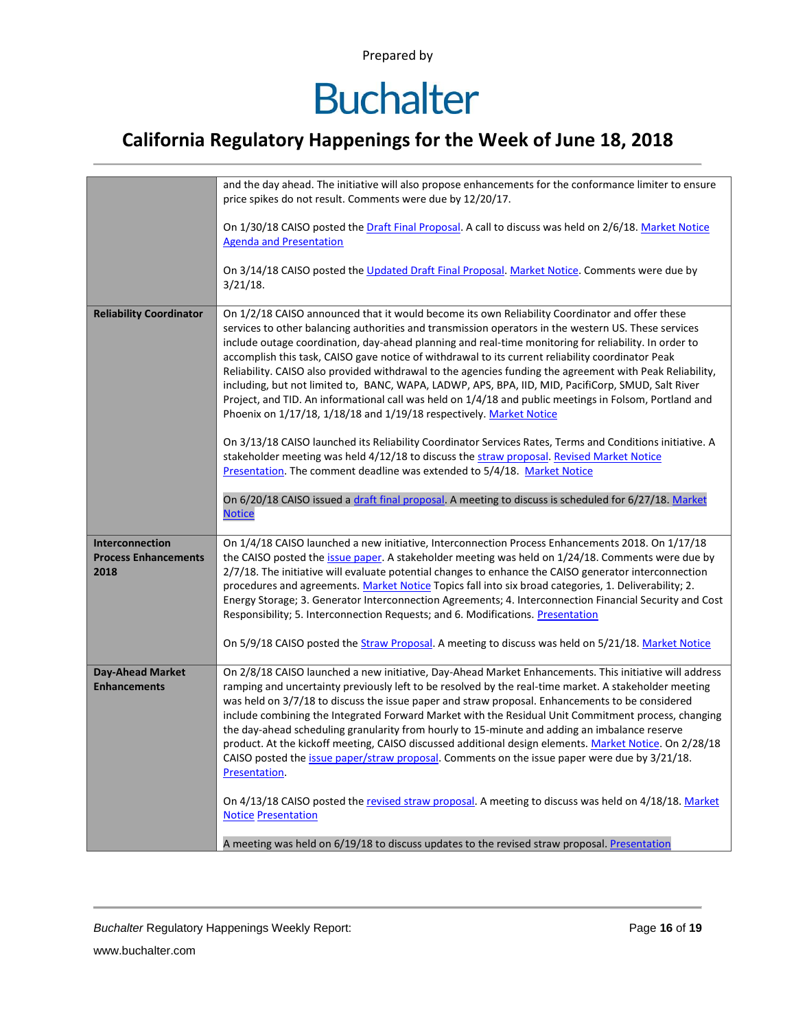# **Buchalter**

### **California Regulatory Happenings for the Week of June 18, 2018**

|                                                               | and the day ahead. The initiative will also propose enhancements for the conformance limiter to ensure<br>price spikes do not result. Comments were due by 12/20/17.                                                                                                                                                                                                                                                                                                                                                                                                                                                                                                                                                                                                                                                    |
|---------------------------------------------------------------|-------------------------------------------------------------------------------------------------------------------------------------------------------------------------------------------------------------------------------------------------------------------------------------------------------------------------------------------------------------------------------------------------------------------------------------------------------------------------------------------------------------------------------------------------------------------------------------------------------------------------------------------------------------------------------------------------------------------------------------------------------------------------------------------------------------------------|
|                                                               | On 1/30/18 CAISO posted the Draft Final Proposal. A call to discuss was held on 2/6/18. Market Notice<br><b>Agenda and Presentation</b>                                                                                                                                                                                                                                                                                                                                                                                                                                                                                                                                                                                                                                                                                 |
|                                                               | On 3/14/18 CAISO posted the Updated Draft Final Proposal. Market Notice. Comments were due by<br>$3/21/18$ .                                                                                                                                                                                                                                                                                                                                                                                                                                                                                                                                                                                                                                                                                                            |
| <b>Reliability Coordinator</b>                                | On 1/2/18 CAISO announced that it would become its own Reliability Coordinator and offer these<br>services to other balancing authorities and transmission operators in the western US. These services<br>include outage coordination, day-ahead planning and real-time monitoring for reliability. In order to<br>accomplish this task, CAISO gave notice of withdrawal to its current reliability coordinator Peak<br>Reliability. CAISO also provided withdrawal to the agencies funding the agreement with Peak Reliability,<br>including, but not limited to, BANC, WAPA, LADWP, APS, BPA, IID, MID, PacifiCorp, SMUD, Salt River<br>Project, and TID. An informational call was held on 1/4/18 and public meetings in Folsom, Portland and<br>Phoenix on 1/17/18, 1/18/18 and 1/19/18 respectively. Market Notice |
|                                                               | On 3/13/18 CAISO launched its Reliability Coordinator Services Rates, Terms and Conditions initiative. A<br>stakeholder meeting was held 4/12/18 to discuss the straw proposal. Revised Market Notice<br>Presentation. The comment deadline was extended to 5/4/18. Market Notice                                                                                                                                                                                                                                                                                                                                                                                                                                                                                                                                       |
|                                                               | On 6/20/18 CAISO issued a draft final proposal. A meeting to discuss is scheduled for 6/27/18. Market<br><b>Notice</b>                                                                                                                                                                                                                                                                                                                                                                                                                                                                                                                                                                                                                                                                                                  |
| <b>Interconnection</b><br><b>Process Enhancements</b><br>2018 | On 1/4/18 CAISO launched a new initiative, Interconnection Process Enhancements 2018. On 1/17/18<br>the CAISO posted the <i>issue paper</i> . A stakeholder meeting was held on 1/24/18. Comments were due by<br>2/7/18. The initiative will evaluate potential changes to enhance the CAISO generator interconnection<br>procedures and agreements. Market Notice Topics fall into six broad categories, 1. Deliverability; 2.<br>Energy Storage; 3. Generator Interconnection Agreements; 4. Interconnection Financial Security and Cost<br>Responsibility; 5. Interconnection Requests; and 6. Modifications. Presentation                                                                                                                                                                                           |
|                                                               | On 5/9/18 CAISO posted the Straw Proposal. A meeting to discuss was held on 5/21/18. Market Notice                                                                                                                                                                                                                                                                                                                                                                                                                                                                                                                                                                                                                                                                                                                      |
| <b>Day-Ahead Market</b><br><b>Enhancements</b>                | On 2/8/18 CAISO launched a new initiative, Day-Ahead Market Enhancements. This initiative will address<br>ramping and uncertainty previously left to be resolved by the real-time market. A stakeholder meeting<br>was held on 3/7/18 to discuss the issue paper and straw proposal. Enhancements to be considered<br>include combining the Integrated Forward Market with the Residual Unit Commitment process, changing<br>the day-ahead scheduling granularity from hourly to 15-minute and adding an imbalance reserve<br>product. At the kickoff meeting, CAISO discussed additional design elements. Market Notice. On 2/28/18<br>CAISO posted the issue paper/straw proposal. Comments on the issue paper were due by 3/21/18.<br>Presentation.                                                                  |
|                                                               | On 4/13/18 CAISO posted the revised straw proposal. A meeting to discuss was held on 4/18/18. Market<br><b>Notice Presentation</b>                                                                                                                                                                                                                                                                                                                                                                                                                                                                                                                                                                                                                                                                                      |
|                                                               | A meeting was held on 6/19/18 to discuss updates to the revised straw proposal. Presentation                                                                                                                                                                                                                                                                                                                                                                                                                                                                                                                                                                                                                                                                                                                            |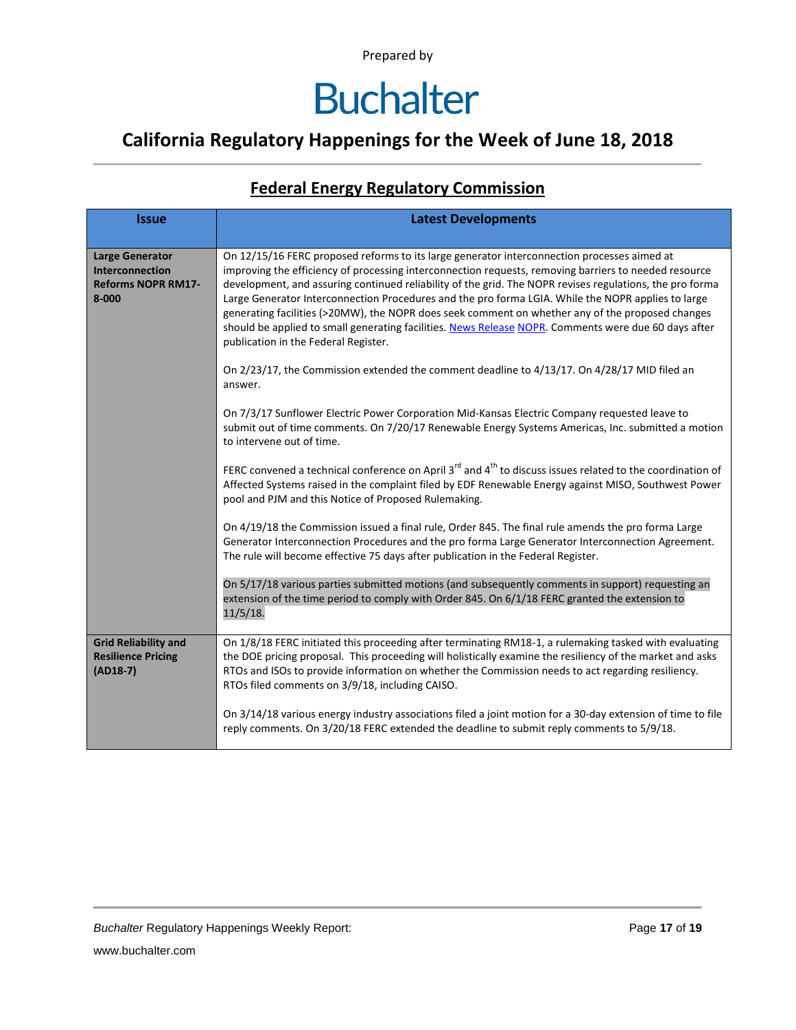### **California Regulatory Happenings for the Week of June 18, 2018**

#### **Federal Energy Regulatory Commission**

| <b>Issue</b>                                                                        | <b>Latest Developments</b>                                                                                                                                                                                                                                                                                                                                                                                                                                                                                                                                                                                                                                                 |  |  |  |  |
|-------------------------------------------------------------------------------------|----------------------------------------------------------------------------------------------------------------------------------------------------------------------------------------------------------------------------------------------------------------------------------------------------------------------------------------------------------------------------------------------------------------------------------------------------------------------------------------------------------------------------------------------------------------------------------------------------------------------------------------------------------------------------|--|--|--|--|
| <b>Large Generator</b><br>Interconnection<br><b>Reforms NOPR RM17-</b><br>$8 - 000$ | On 12/15/16 FERC proposed reforms to its large generator interconnection processes aimed at<br>improving the efficiency of processing interconnection requests, removing barriers to needed resource<br>development, and assuring continued reliability of the grid. The NOPR revises regulations, the pro forma<br>Large Generator Interconnection Procedures and the pro forma LGIA. While the NOPR applies to large<br>generating facilities (>20MW), the NOPR does seek comment on whether any of the proposed changes<br>should be applied to small generating facilities. News Release NOPR. Comments were due 60 days after<br>publication in the Federal Register. |  |  |  |  |
|                                                                                     | On 2/23/17, the Commission extended the comment deadline to 4/13/17. On 4/28/17 MID filed an<br>answer.                                                                                                                                                                                                                                                                                                                                                                                                                                                                                                                                                                    |  |  |  |  |
|                                                                                     | On 7/3/17 Sunflower Electric Power Corporation Mid-Kansas Electric Company requested leave to<br>submit out of time comments. On 7/20/17 Renewable Energy Systems Americas, Inc. submitted a motion<br>to intervene out of time.                                                                                                                                                                                                                                                                                                                                                                                                                                           |  |  |  |  |
|                                                                                     | FERC convened a technical conference on April 3 <sup>rd</sup> and 4 <sup>th</sup> to discuss issues related to the coordination of<br>Affected Systems raised in the complaint filed by EDF Renewable Energy against MISO, Southwest Power<br>pool and PJM and this Notice of Proposed Rulemaking.                                                                                                                                                                                                                                                                                                                                                                         |  |  |  |  |
|                                                                                     | On 4/19/18 the Commission issued a final rule, Order 845. The final rule amends the pro forma Large<br>Generator Interconnection Procedures and the pro forma Large Generator Interconnection Agreement.<br>The rule will become effective 75 days after publication in the Federal Register.                                                                                                                                                                                                                                                                                                                                                                              |  |  |  |  |
|                                                                                     | On 5/17/18 various parties submitted motions (and subsequently comments in support) requesting an<br>extension of the time period to comply with Order 845. On 6/1/18 FERC granted the extension to<br>11/5/18.                                                                                                                                                                                                                                                                                                                                                                                                                                                            |  |  |  |  |
| <b>Grid Reliability and</b><br><b>Resilience Pricing</b><br>$(AD18-7)$              | On 1/8/18 FERC initiated this proceeding after terminating RM18-1, a rulemaking tasked with evaluating<br>the DOE pricing proposal. This proceeding will holistically examine the resiliency of the market and asks<br>RTOs and ISOs to provide information on whether the Commission needs to act regarding resiliency.<br>RTOs filed comments on 3/9/18, including CAISO.                                                                                                                                                                                                                                                                                                |  |  |  |  |
|                                                                                     | On 3/14/18 various energy industry associations filed a joint motion for a 30-day extension of time to file<br>reply comments. On 3/20/18 FERC extended the deadline to submit reply comments to 5/9/18.                                                                                                                                                                                                                                                                                                                                                                                                                                                                   |  |  |  |  |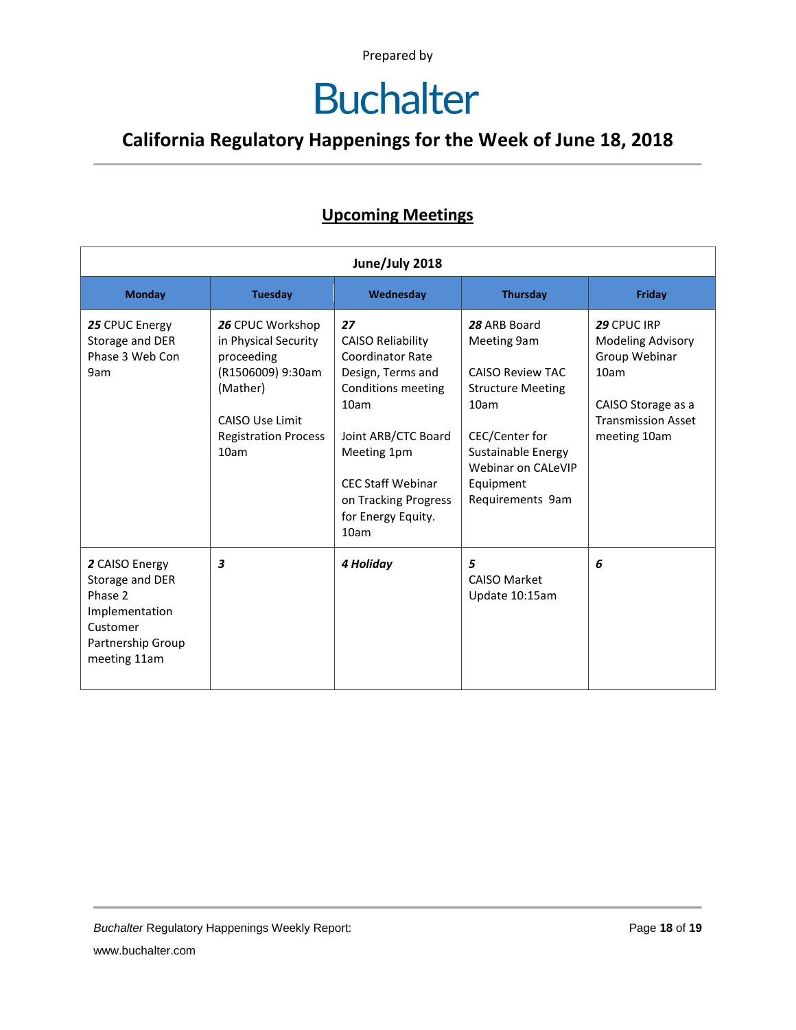# **Buchalter**

### **California Regulatory Happenings for the Week of June 18, 2018**

#### **Upcoming Meetings**

| June/July 2018                                                                                                  |                                                                                                                                                   |                                                                                                                                                                                                                                      |                                                                                                                                                                                           |                                                                                                                              |  |  |  |
|-----------------------------------------------------------------------------------------------------------------|---------------------------------------------------------------------------------------------------------------------------------------------------|--------------------------------------------------------------------------------------------------------------------------------------------------------------------------------------------------------------------------------------|-------------------------------------------------------------------------------------------------------------------------------------------------------------------------------------------|------------------------------------------------------------------------------------------------------------------------------|--|--|--|
| <b>Monday</b>                                                                                                   | <b>Tuesday</b>                                                                                                                                    | Wednesday                                                                                                                                                                                                                            | <b>Thursday</b>                                                                                                                                                                           | Friday                                                                                                                       |  |  |  |
| 25 CPUC Energy<br>Storage and DER<br>Phase 3 Web Con<br>9am                                                     | 26 CPUC Workshop<br>in Physical Security<br>proceeding<br>(R1506009) 9:30am<br>(Mather)<br>CAISO Use Limit<br><b>Registration Process</b><br>10am | 27<br><b>CAISO Reliability</b><br><b>Coordinator Rate</b><br>Design, Terms and<br>Conditions meeting<br>10am<br>Joint ARB/CTC Board<br>Meeting 1pm<br><b>CEC Staff Webinar</b><br>on Tracking Progress<br>for Energy Equity.<br>10am | 28 ARB Board<br>Meeting 9am<br><b>CAISO Review TAC</b><br><b>Structure Meeting</b><br>10am<br>CEC/Center for<br>Sustainable Energy<br>Webinar on CALeVIP<br>Equipment<br>Requirements 9am | 29 CPUC IRP<br>Modeling Advisory<br>Group Webinar<br>10am<br>CAISO Storage as a<br><b>Transmission Asset</b><br>meeting 10am |  |  |  |
| 2 CAISO Energy<br>Storage and DER<br>Phase 2<br>Implementation<br>Customer<br>Partnership Group<br>meeting 11am | 3                                                                                                                                                 | 4 Holiday                                                                                                                                                                                                                            | 5<br><b>CAISO Market</b><br>Update 10:15am                                                                                                                                                | 6                                                                                                                            |  |  |  |